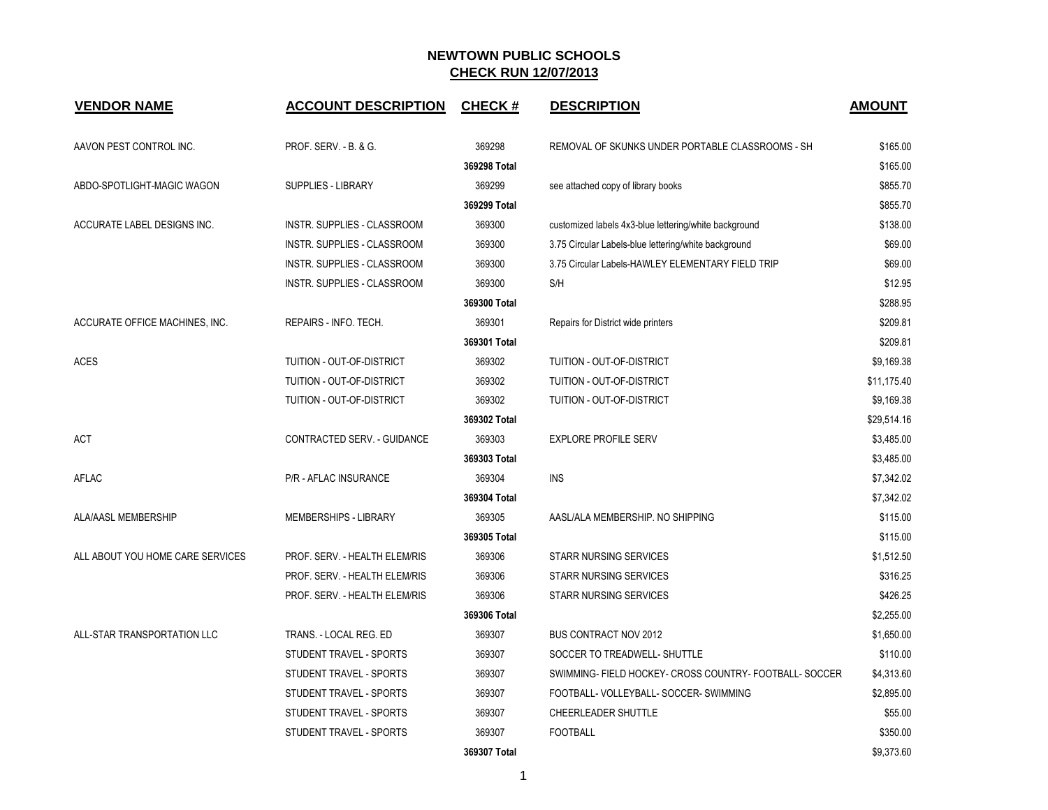| <b>VENDOR NAME</b>               | <b>ACCOUNT DESCRIPTION</b>       | <b>CHECK#</b> | <b>DESCRIPTION</b>                                      | <b>AMOUNT</b> |
|----------------------------------|----------------------------------|---------------|---------------------------------------------------------|---------------|
| AAVON PEST CONTROL INC.          | <b>PROF. SERV. - B. &amp; G.</b> | 369298        | REMOVAL OF SKUNKS UNDER PORTABLE CLASSROOMS - SH        | \$165.00      |
|                                  |                                  | 369298 Total  |                                                         | \$165.00      |
| ABDO-SPOTLIGHT-MAGIC WAGON       | <b>SUPPLIES - LIBRARY</b>        | 369299        | see attached copy of library books                      | \$855.70      |
|                                  |                                  | 369299 Total  |                                                         | \$855.70      |
| ACCURATE LABEL DESIGNS INC.      | INSTR. SUPPLIES - CLASSROOM      | 369300        | customized labels 4x3-blue lettering/white background   | \$138.00      |
|                                  | INSTR. SUPPLIES - CLASSROOM      | 369300        | 3.75 Circular Labels-blue lettering/white background    | \$69.00       |
|                                  | INSTR. SUPPLIES - CLASSROOM      | 369300        | 3.75 Circular Labels-HAWLEY ELEMENTARY FIELD TRIP       | \$69.00       |
|                                  | INSTR. SUPPLIES - CLASSROOM      | 369300        | S/H                                                     | \$12.95       |
|                                  |                                  | 369300 Total  |                                                         | \$288.95      |
| ACCURATE OFFICE MACHINES, INC.   | REPAIRS - INFO. TECH.            | 369301        | Repairs for District wide printers                      | \$209.81      |
|                                  |                                  | 369301 Total  |                                                         | \$209.81      |
| <b>ACES</b>                      | TUITION - OUT-OF-DISTRICT        | 369302        | TUITION - OUT-OF-DISTRICT                               | \$9,169.38    |
|                                  | TUITION - OUT-OF-DISTRICT        | 369302        | TUITION - OUT-OF-DISTRICT                               | \$11,175.40   |
|                                  | TUITION - OUT-OF-DISTRICT        | 369302        | TUITION - OUT-OF-DISTRICT                               | \$9,169.38    |
|                                  |                                  | 369302 Total  |                                                         | \$29,514.16   |
| <b>ACT</b>                       | CONTRACTED SERV. - GUIDANCE      | 369303        | <b>EXPLORE PROFILE SERV</b>                             | \$3,485.00    |
|                                  |                                  | 369303 Total  |                                                         | \$3,485.00    |
| AFLAC                            | <b>P/R - AFLAC INSURANCE</b>     | 369304        | <b>INS</b>                                              | \$7,342.02    |
|                                  |                                  | 369304 Total  |                                                         | \$7,342.02    |
| ALA/AASL MEMBERSHIP              | MEMBERSHIPS - LIBRARY            | 369305        | AASL/ALA MEMBERSHIP. NO SHIPPING                        | \$115.00      |
|                                  |                                  | 369305 Total  |                                                         | \$115.00      |
| ALL ABOUT YOU HOME CARE SERVICES | PROF. SERV. - HEALTH ELEM/RIS    | 369306        | <b>STARR NURSING SERVICES</b>                           | \$1,512.50    |
|                                  | PROF. SERV. - HEALTH ELEM/RIS    | 369306        | <b>STARR NURSING SERVICES</b>                           | \$316.25      |
|                                  | PROF. SERV. - HEALTH ELEM/RIS    | 369306        | <b>STARR NURSING SERVICES</b>                           | \$426.25      |
|                                  |                                  | 369306 Total  |                                                         | \$2,255.00    |
| ALL-STAR TRANSPORTATION LLC      | TRANS. - LOCAL REG. ED           | 369307        | <b>BUS CONTRACT NOV 2012</b>                            | \$1,650.00    |
|                                  | STUDENT TRAVEL - SPORTS          | 369307        | SOCCER TO TREADWELL- SHUTTLE                            | \$110.00      |
|                                  | STUDENT TRAVEL - SPORTS          | 369307        | SWIMMING- FIELD HOCKEY- CROSS COUNTRY- FOOTBALL- SOCCER | \$4,313.60    |
|                                  | STUDENT TRAVEL - SPORTS          | 369307        | FOOTBALL- VOLLEYBALL- SOCCER- SWIMMING                  | \$2,895.00    |
|                                  | STUDENT TRAVEL - SPORTS          | 369307        | CHEERLEADER SHUTTLE                                     | \$55.00       |
|                                  | STUDENT TRAVEL - SPORTS          | 369307        | <b>FOOTBALL</b>                                         | \$350.00      |
|                                  |                                  | 369307 Total  |                                                         | \$9,373.60    |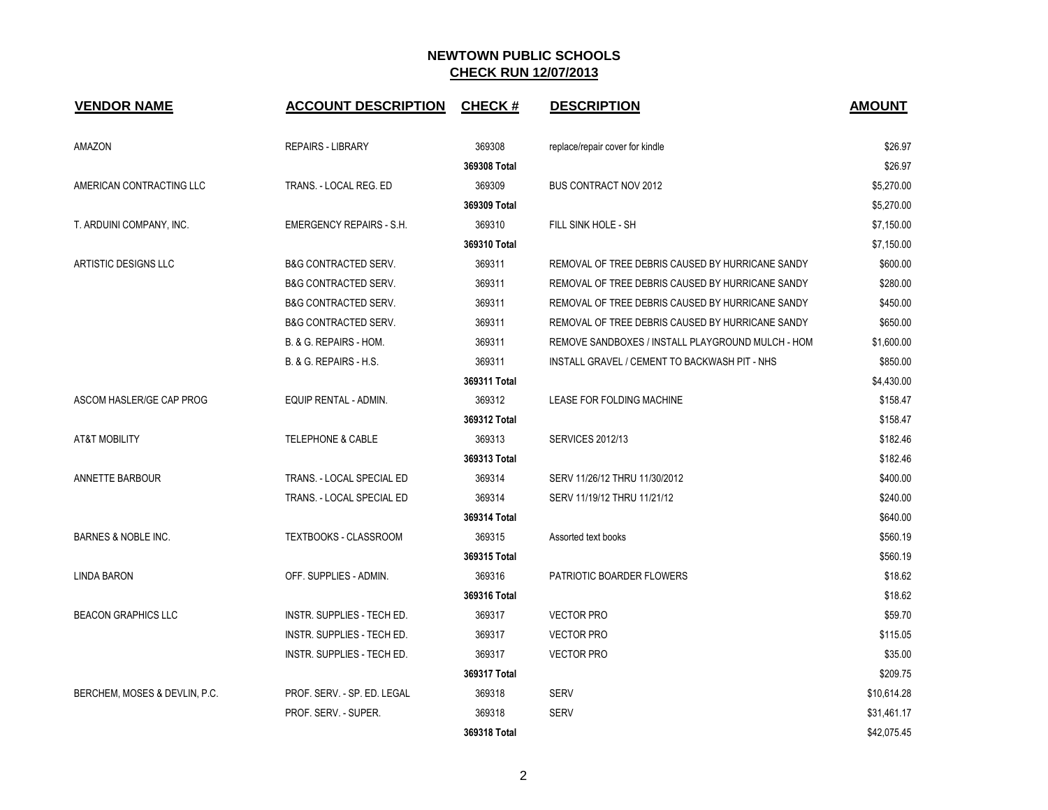| <b>VENDOR NAME</b>             | <b>ACCOUNT DESCRIPTION</b>      | <b>CHECK#</b> | <b>DESCRIPTION</b>                                | <b>AMOUNT</b> |
|--------------------------------|---------------------------------|---------------|---------------------------------------------------|---------------|
| AMAZON                         | <b>REPAIRS - LIBRARY</b>        | 369308        | replace/repair cover for kindle                   | \$26.97       |
|                                |                                 | 369308 Total  |                                                   | \$26.97       |
| AMERICAN CONTRACTING LLC       | TRANS. - LOCAL REG. ED          | 369309        | <b>BUS CONTRACT NOV 2012</b>                      | \$5,270.00    |
|                                |                                 | 369309 Total  |                                                   | \$5,270.00    |
| T. ARDUINI COMPANY, INC.       | EMERGENCY REPAIRS - S.H.        | 369310        | FILL SINK HOLE - SH                               | \$7,150.00    |
|                                |                                 | 369310 Total  |                                                   | \$7,150.00    |
| ARTISTIC DESIGNS LLC           | <b>B&amp;G CONTRACTED SERV.</b> | 369311        | REMOVAL OF TREE DEBRIS CAUSED BY HURRICANE SANDY  | \$600.00      |
|                                | <b>B&amp;G CONTRACTED SERV.</b> | 369311        | REMOVAL OF TREE DEBRIS CAUSED BY HURRICANE SANDY  | \$280.00      |
|                                | <b>B&amp;G CONTRACTED SERV.</b> | 369311        | REMOVAL OF TREE DEBRIS CAUSED BY HURRICANE SANDY  | \$450.00      |
|                                | <b>B&amp;G CONTRACTED SERV.</b> | 369311        | REMOVAL OF TREE DEBRIS CAUSED BY HURRICANE SANDY  | \$650.00      |
|                                | B. & G. REPAIRS - HOM.          | 369311        | REMOVE SANDBOXES / INSTALL PLAYGROUND MULCH - HOM | \$1,600.00    |
|                                | B. & G. REPAIRS - H.S.          | 369311        | INSTALL GRAVEL / CEMENT TO BACKWASH PIT - NHS     | \$850.00      |
|                                |                                 | 369311 Total  |                                                   | \$4,430.00    |
| ASCOM HASLER/GE CAP PROG       | EQUIP RENTAL - ADMIN.           | 369312        | LEASE FOR FOLDING MACHINE                         | \$158.47      |
|                                |                                 | 369312 Total  |                                                   | \$158.47      |
| <b>AT&amp;T MOBILITY</b>       | <b>TELEPHONE &amp; CABLE</b>    | 369313        | <b>SERVICES 2012/13</b>                           | \$182.46      |
|                                |                                 | 369313 Total  |                                                   | \$182.46      |
| ANNETTE BARBOUR                | TRANS. - LOCAL SPECIAL ED       | 369314        | SERV 11/26/12 THRU 11/30/2012                     | \$400.00      |
|                                | TRANS. - LOCAL SPECIAL ED       | 369314        | SERV 11/19/12 THRU 11/21/12                       | \$240.00      |
|                                |                                 | 369314 Total  |                                                   | \$640.00      |
| <b>BARNES &amp; NOBLE INC.</b> | <b>TEXTBOOKS - CLASSROOM</b>    | 369315        | Assorted text books                               | \$560.19      |
|                                |                                 | 369315 Total  |                                                   | \$560.19      |
| LINDA BARON                    | OFF. SUPPLIES - ADMIN.          | 369316        | PATRIOTIC BOARDER FLOWERS                         | \$18.62       |
|                                |                                 | 369316 Total  |                                                   | \$18.62       |
| <b>BEACON GRAPHICS LLC</b>     | INSTR. SUPPLIES - TECH ED.      | 369317        | <b>VECTOR PRO</b>                                 | \$59.70       |
|                                | INSTR. SUPPLIES - TECH ED.      | 369317        | <b>VECTOR PRO</b>                                 | \$115.05      |
|                                | INSTR. SUPPLIES - TECH ED.      | 369317        | <b>VECTOR PRO</b>                                 | \$35.00       |
|                                |                                 | 369317 Total  |                                                   | \$209.75      |
| BERCHEM, MOSES & DEVLIN, P.C.  | PROF. SERV. - SP. ED. LEGAL     | 369318        | <b>SERV</b>                                       | \$10,614.28   |
|                                | PROF. SERV. - SUPER.            | 369318        | <b>SERV</b>                                       | \$31,461.17   |
|                                |                                 | 369318 Total  |                                                   | \$42,075.45   |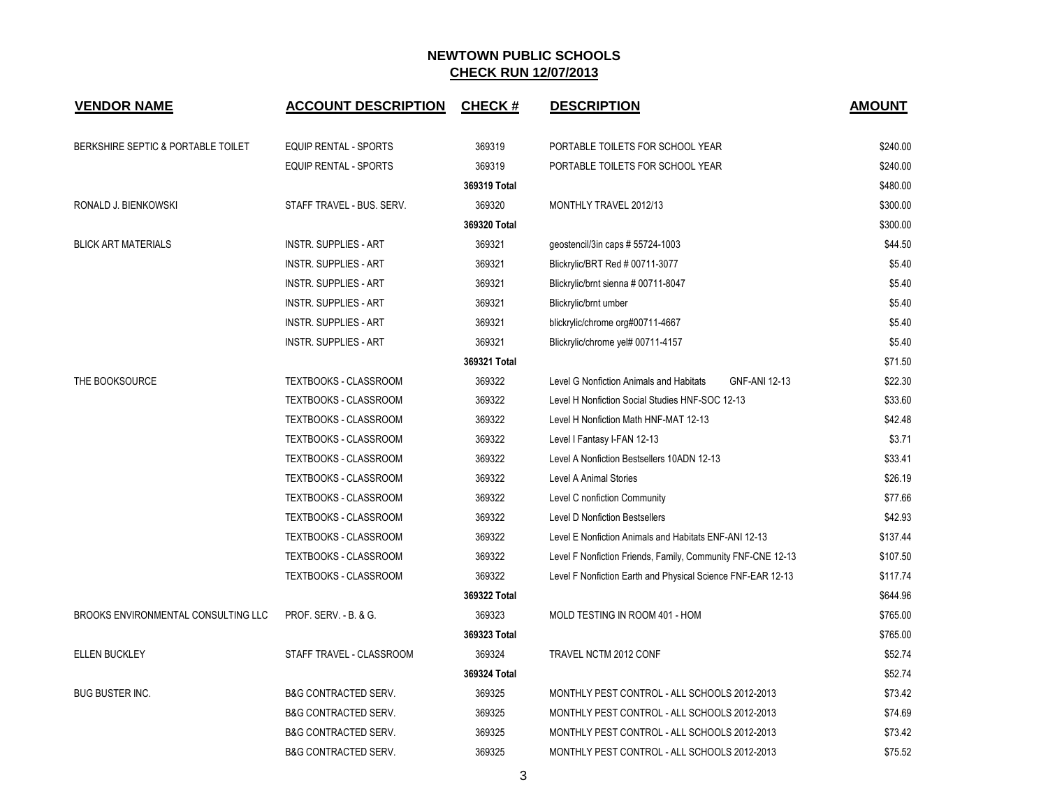| <b>VENDOR NAME</b>                  | <b>ACCOUNT DESCRIPTION</b>      | <b>CHECK#</b> | <b>DESCRIPTION</b>                                          | <b>AMOUNT</b> |
|-------------------------------------|---------------------------------|---------------|-------------------------------------------------------------|---------------|
| BERKSHIRE SEPTIC & PORTABLE TOILET  | <b>EQUIP RENTAL - SPORTS</b>    | 369319        | PORTABLE TOILETS FOR SCHOOL YEAR                            | \$240.00      |
|                                     | EQUIP RENTAL - SPORTS           | 369319        | PORTABLE TOILETS FOR SCHOOL YEAR                            | \$240.00      |
|                                     |                                 | 369319 Total  |                                                             | \$480.00      |
| RONALD J. BIENKOWSKI                | STAFF TRAVEL - BUS. SERV.       | 369320        | MONTHLY TRAVEL 2012/13                                      | \$300.00      |
|                                     |                                 | 369320 Total  |                                                             | \$300.00      |
| <b>BLICK ART MATERIALS</b>          | <b>INSTR. SUPPLIES - ART</b>    | 369321        | geostencil/3in caps # 55724-1003                            | \$44.50       |
|                                     | <b>INSTR. SUPPLIES - ART</b>    | 369321        | Blickrylic/BRT Red # 00711-3077                             | \$5.40        |
|                                     | <b>INSTR. SUPPLIES - ART</b>    | 369321        | Blickrylic/brnt sienna # 00711-8047                         | \$5.40        |
|                                     | <b>INSTR. SUPPLIES - ART</b>    | 369321        | Blickrylic/brnt umber                                       | \$5.40        |
|                                     | <b>INSTR. SUPPLIES - ART</b>    | 369321        | blickrylic/chrome org#00711-4667                            | \$5.40        |
|                                     | <b>INSTR. SUPPLIES - ART</b>    | 369321        | Blickrylic/chrome yel# 00711-4157                           | \$5.40        |
|                                     |                                 | 369321 Total  |                                                             | \$71.50       |
| THE BOOKSOURCE                      | TEXTBOOKS - CLASSROOM           | 369322        | GNF-ANI 12-13<br>Level G Nonfiction Animals and Habitats    | \$22.30       |
|                                     | TEXTBOOKS - CLASSROOM           | 369322        | Level H Nonfiction Social Studies HNF-SOC 12-13             | \$33.60       |
|                                     | TEXTBOOKS - CLASSROOM           | 369322        | Level H Nonfiction Math HNF-MAT 12-13                       | \$42.48       |
|                                     | TEXTBOOKS - CLASSROOM           | 369322        | Level I Fantasy I-FAN 12-13                                 | \$3.71        |
|                                     | TEXTBOOKS - CLASSROOM           | 369322        | Level A Nonfiction Bestsellers 10ADN 12-13                  | \$33.41       |
|                                     | TEXTBOOKS - CLASSROOM           | 369322        | <b>Level A Animal Stories</b>                               | \$26.19       |
|                                     | TEXTBOOKS - CLASSROOM           | 369322        | Level C nonfiction Community                                | \$77.66       |
|                                     | TEXTBOOKS - CLASSROOM           | 369322        | <b>Level D Nonfiction Bestsellers</b>                       | \$42.93       |
|                                     | TEXTBOOKS - CLASSROOM           | 369322        | Level E Nonfiction Animals and Habitats ENF-ANI 12-13       | \$137.44      |
|                                     | TEXTBOOKS - CLASSROOM           | 369322        | Level F Nonfiction Friends, Family, Community FNF-CNE 12-13 | \$107.50      |
|                                     | TEXTBOOKS - CLASSROOM           | 369322        | Level F Nonfiction Earth and Physical Science FNF-EAR 12-13 | \$117.74      |
|                                     |                                 | 369322 Total  |                                                             | \$644.96      |
| BROOKS ENVIRONMENTAL CONSULTING LLC | PROF. SERV. - B. & G.           | 369323        | MOLD TESTING IN ROOM 401 - HOM                              | \$765.00      |
|                                     |                                 | 369323 Total  |                                                             | \$765.00      |
| <b>ELLEN BUCKLEY</b>                | STAFF TRAVEL - CLASSROOM        | 369324        | TRAVEL NCTM 2012 CONF                                       | \$52.74       |
|                                     |                                 | 369324 Total  |                                                             | \$52.74       |
| <b>BUG BUSTER INC.</b>              | <b>B&amp;G CONTRACTED SERV.</b> | 369325        | MONTHLY PEST CONTROL - ALL SCHOOLS 2012-2013                | \$73.42       |
|                                     | <b>B&amp;G CONTRACTED SERV.</b> | 369325        | MONTHLY PEST CONTROL - ALL SCHOOLS 2012-2013                | \$74.69       |
|                                     | B&G CONTRACTED SERV.            | 369325        | MONTHLY PEST CONTROL - ALL SCHOOLS 2012-2013                | \$73.42       |
|                                     | B&G CONTRACTED SERV.            | 369325        | MONTHLY PEST CONTROL - ALL SCHOOLS 2012-2013                | \$75.52       |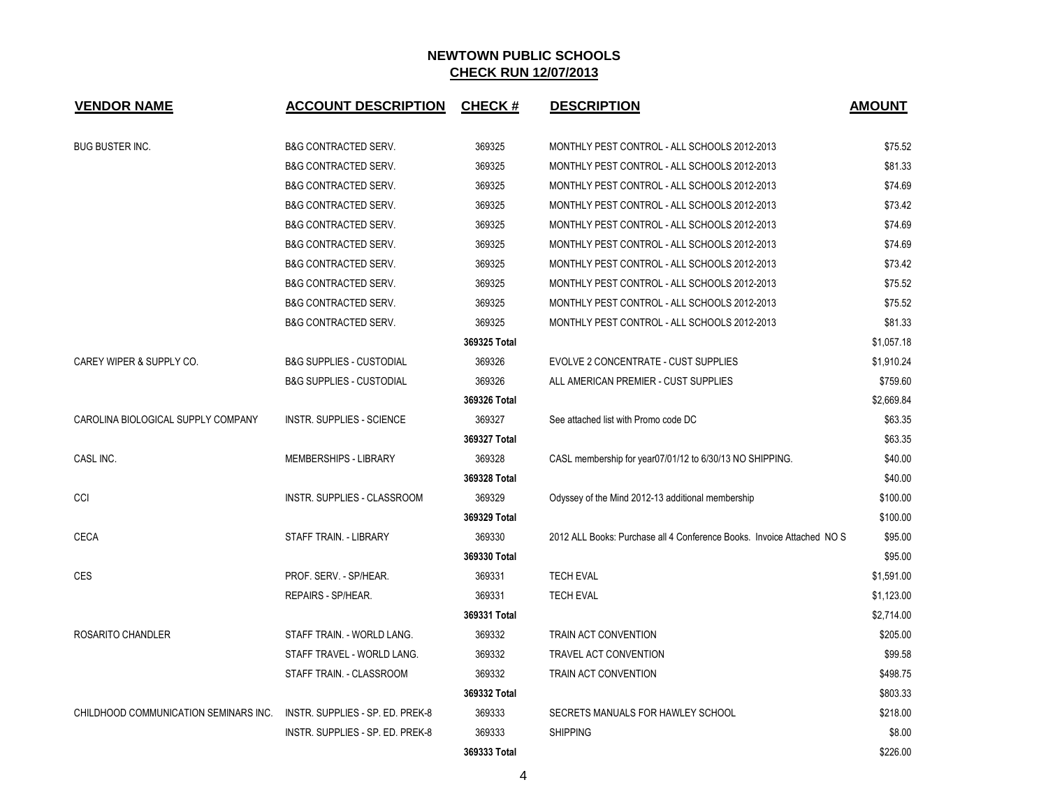| <b>VENDOR NAME</b>                    | <b>ACCOUNT DESCRIPTION</b>          | <b>CHECK#</b> | <b>DESCRIPTION</b>                                                     | <b>AMOUNT</b> |
|---------------------------------------|-------------------------------------|---------------|------------------------------------------------------------------------|---------------|
| <b>BUG BUSTER INC.</b>                | <b>B&amp;G CONTRACTED SERV.</b>     | 369325        | MONTHLY PEST CONTROL - ALL SCHOOLS 2012-2013                           | \$75.52       |
|                                       | <b>B&amp;G CONTRACTED SERV.</b>     | 369325        | MONTHLY PEST CONTROL - ALL SCHOOLS 2012-2013                           | \$81.33       |
|                                       | <b>B&amp;G CONTRACTED SERV.</b>     | 369325        | MONTHLY PEST CONTROL - ALL SCHOOLS 2012-2013                           | \$74.69       |
|                                       | <b>B&amp;G CONTRACTED SERV.</b>     | 369325        | MONTHLY PEST CONTROL - ALL SCHOOLS 2012-2013                           | \$73.42       |
|                                       | <b>B&amp;G CONTRACTED SERV.</b>     | 369325        | MONTHLY PEST CONTROL - ALL SCHOOLS 2012-2013                           | \$74.69       |
|                                       | <b>B&amp;G CONTRACTED SERV.</b>     | 369325        | MONTHLY PEST CONTROL - ALL SCHOOLS 2012-2013                           | \$74.69       |
|                                       | <b>B&amp;G CONTRACTED SERV.</b>     | 369325        | MONTHLY PEST CONTROL - ALL SCHOOLS 2012-2013                           | \$73.42       |
|                                       | <b>B&amp;G CONTRACTED SERV.</b>     | 369325        | MONTHLY PEST CONTROL - ALL SCHOOLS 2012-2013                           | \$75.52       |
|                                       | <b>B&amp;G CONTRACTED SERV.</b>     | 369325        | MONTHLY PEST CONTROL - ALL SCHOOLS 2012-2013                           | \$75.52       |
|                                       | <b>B&amp;G CONTRACTED SERV.</b>     | 369325        | MONTHLY PEST CONTROL - ALL SCHOOLS 2012-2013                           | \$81.33       |
|                                       |                                     | 369325 Total  |                                                                        | \$1.057.18    |
| CAREY WIPER & SUPPLY CO.              | <b>B&amp;G SUPPLIES - CUSTODIAL</b> | 369326        | EVOLVE 2 CONCENTRATE - CUST SUPPLIES                                   | \$1,910.24    |
|                                       | <b>B&amp;G SUPPLIES - CUSTODIAL</b> | 369326        | ALL AMERICAN PREMIER - CUST SUPPLIES                                   | \$759.60      |
|                                       |                                     | 369326 Total  |                                                                        | \$2,669.84    |
| CAROLINA BIOLOGICAL SUPPLY COMPANY    | <b>INSTR. SUPPLIES - SCIENCE</b>    | 369327        | See attached list with Promo code DC                                   | \$63.35       |
|                                       |                                     | 369327 Total  |                                                                        | \$63.35       |
| CASL INC.                             | <b>MEMBERSHIPS - LIBRARY</b>        | 369328        | CASL membership for year07/01/12 to 6/30/13 NO SHIPPING.               | \$40.00       |
|                                       |                                     | 369328 Total  |                                                                        | \$40.00       |
| CCI                                   | <b>INSTR. SUPPLIES - CLASSROOM</b>  | 369329        | Odyssey of the Mind 2012-13 additional membership                      | \$100.00      |
|                                       |                                     | 369329 Total  |                                                                        | \$100.00      |
| <b>CECA</b>                           | STAFF TRAIN. - LIBRARY              | 369330        | 2012 ALL Books: Purchase all 4 Conference Books. Invoice Attached NO S | \$95.00       |
|                                       |                                     | 369330 Total  |                                                                        | \$95.00       |
| <b>CES</b>                            | PROF. SERV. - SP/HEAR.              | 369331        | <b>TECH EVAL</b>                                                       | \$1,591.00    |
|                                       | REPAIRS - SP/HEAR.                  | 369331        | <b>TECH EVAL</b>                                                       | \$1,123.00    |
|                                       |                                     | 369331 Total  |                                                                        | \$2,714.00    |
| ROSARITO CHANDLER                     | STAFF TRAIN. - WORLD LANG.          | 369332        | TRAIN ACT CONVENTION                                                   | \$205.00      |
|                                       | STAFF TRAVEL - WORLD LANG.          | 369332        | <b>TRAVEL ACT CONVENTION</b>                                           | \$99.58       |
|                                       | STAFF TRAIN. - CLASSROOM            | 369332        | TRAIN ACT CONVENTION                                                   | \$498.75      |
|                                       |                                     | 369332 Total  |                                                                        | \$803.33      |
| CHILDHOOD COMMUNICATION SEMINARS INC. | INSTR. SUPPLIES - SP. ED. PREK-8    | 369333        | SECRETS MANUALS FOR HAWLEY SCHOOL                                      | \$218.00      |
|                                       | INSTR. SUPPLIES - SP. ED. PREK-8    | 369333        | <b>SHIPPING</b>                                                        | \$8.00        |
|                                       |                                     | 369333 Total  |                                                                        | \$226.00      |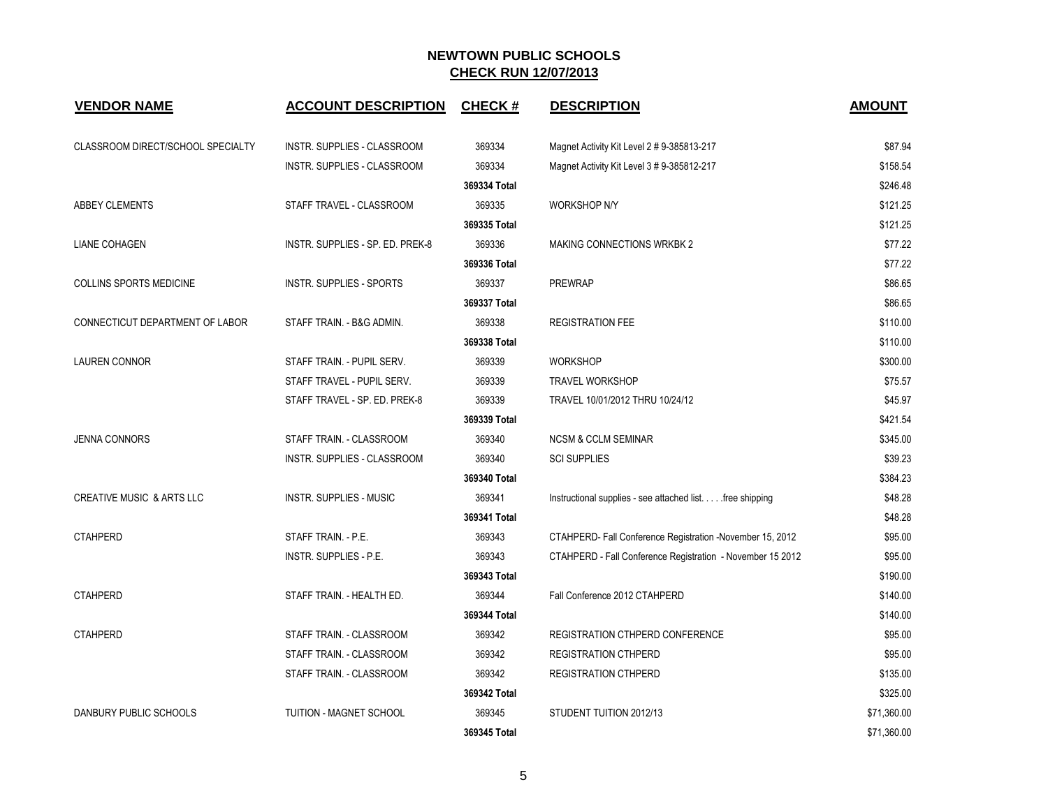| <b>VENDOR NAME</b>                   | <b>ACCOUNT DESCRIPTION</b>       | <b>CHECK#</b> | <b>DESCRIPTION</b>                                         | <b>AMOUNT</b> |
|--------------------------------------|----------------------------------|---------------|------------------------------------------------------------|---------------|
| CLASSROOM DIRECT/SCHOOL SPECIALTY    | INSTR. SUPPLIES - CLASSROOM      | 369334        | Magnet Activity Kit Level 2 # 9-385813-217                 | \$87.94       |
|                                      | INSTR. SUPPLIES - CLASSROOM      | 369334        |                                                            | \$158.54      |
|                                      |                                  | 369334 Total  | Magnet Activity Kit Level 3 # 9-385812-217                 | \$246.48      |
| ABBEY CLEMENTS                       | STAFF TRAVEL - CLASSROOM         | 369335        | WORKSHOP N/Y                                               | \$121.25      |
|                                      |                                  | 369335 Total  |                                                            | \$121.25      |
| <b>LIANE COHAGEN</b>                 | INSTR. SUPPLIES - SP. ED. PREK-8 | 369336        | <b>MAKING CONNECTIONS WRKBK 2</b>                          | \$77.22       |
|                                      |                                  | 369336 Total  |                                                            | \$77.22       |
| <b>COLLINS SPORTS MEDICINE</b>       | <b>INSTR. SUPPLIES - SPORTS</b>  | 369337        | <b>PREWRAP</b>                                             | \$86.65       |
|                                      |                                  | 369337 Total  |                                                            | \$86.65       |
| CONNECTICUT DEPARTMENT OF LABOR      | STAFF TRAIN. - B&G ADMIN.        | 369338        | <b>REGISTRATION FEE</b>                                    | \$110.00      |
|                                      |                                  | 369338 Total  |                                                            | \$110.00      |
| <b>LAUREN CONNOR</b>                 | STAFF TRAIN. - PUPIL SERV.       | 369339        | <b>WORKSHOP</b>                                            | \$300.00      |
|                                      | STAFF TRAVEL - PUPIL SERV.       | 369339        | <b>TRAVEL WORKSHOP</b>                                     | \$75.57       |
|                                      | STAFF TRAVEL - SP. ED. PREK-8    | 369339        | TRAVEL 10/01/2012 THRU 10/24/12                            | \$45.97       |
|                                      |                                  | 369339 Total  |                                                            | \$421.54      |
| <b>JENNA CONNORS</b>                 | STAFF TRAIN. - CLASSROOM         | 369340        | <b>NCSM &amp; CCLM SEMINAR</b>                             | \$345.00      |
|                                      | INSTR. SUPPLIES - CLASSROOM      | 369340        | <b>SCI SUPPLIES</b>                                        | \$39.23       |
|                                      |                                  | 369340 Total  |                                                            | \$384.23      |
| <b>CREATIVE MUSIC &amp; ARTS LLC</b> | <b>INSTR. SUPPLIES - MUSIC</b>   | 369341        | Instructional supplies - see attached list. free shipping  | \$48.28       |
|                                      |                                  | 369341 Total  |                                                            | \$48.28       |
| <b>CTAHPERD</b>                      | STAFF TRAIN. - P.E.              | 369343        | CTAHPERD- Fall Conference Registration -November 15, 2012  | \$95.00       |
|                                      | INSTR. SUPPLIES - P.E.           | 369343        | CTAHPERD - Fall Conference Registration - November 15 2012 | \$95.00       |
|                                      |                                  | 369343 Total  |                                                            | \$190.00      |
| <b>CTAHPERD</b>                      | STAFF TRAIN. - HEALTH ED.        | 369344        | Fall Conference 2012 CTAHPERD                              | \$140.00      |
|                                      |                                  | 369344 Total  |                                                            | \$140.00      |
| <b>CTAHPERD</b>                      | STAFF TRAIN. - CLASSROOM         | 369342        | REGISTRATION CTHPERD CONFERENCE                            | \$95.00       |
|                                      | STAFF TRAIN. - CLASSROOM         | 369342        | <b>REGISTRATION CTHPERD</b>                                | \$95.00       |
|                                      | STAFF TRAIN. - CLASSROOM         | 369342        | <b>REGISTRATION CTHPERD</b>                                | \$135.00      |
|                                      |                                  | 369342 Total  |                                                            | \$325.00      |
| DANBURY PUBLIC SCHOOLS               | TUITION - MAGNET SCHOOL          | 369345        | STUDENT TUITION 2012/13                                    | \$71,360.00   |
|                                      |                                  | 369345 Total  |                                                            | \$71,360.00   |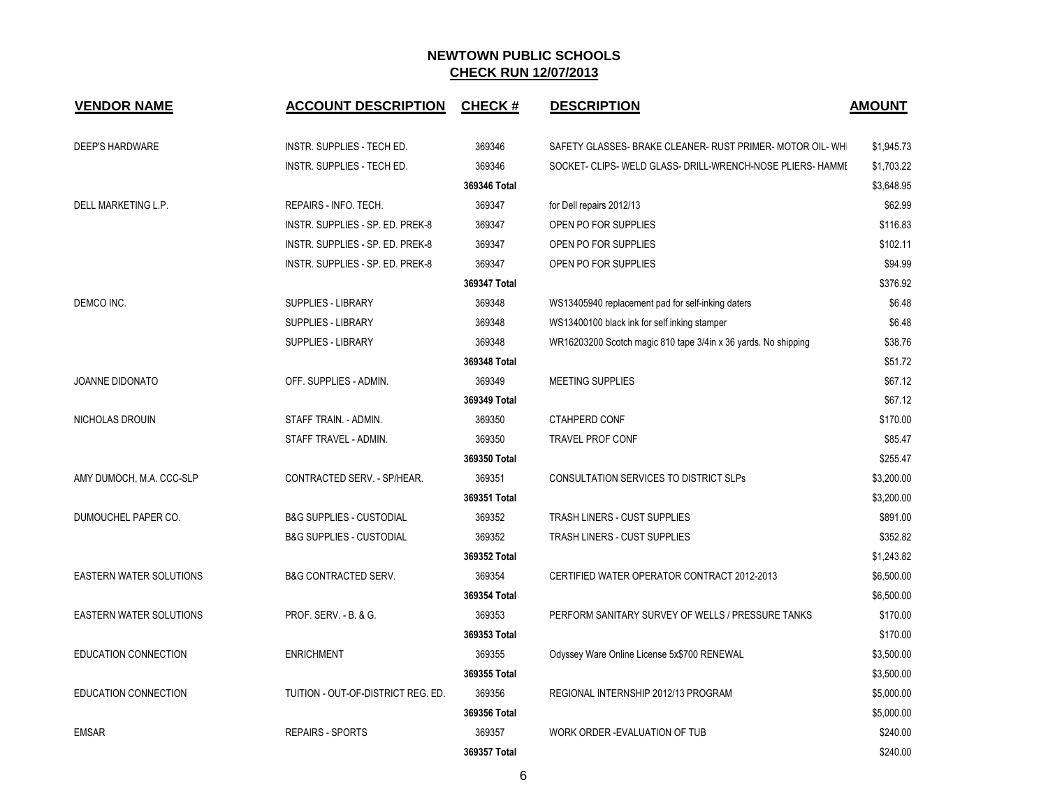| <b>VENDOR NAME</b>             | <b>ACCOUNT DESCRIPTION</b>          | <b>CHECK#</b> | <b>DESCRIPTION</b>                                             | <b>AMOUNT</b> |
|--------------------------------|-------------------------------------|---------------|----------------------------------------------------------------|---------------|
| <b>DEEP'S HARDWARE</b>         | INSTR. SUPPLIES - TECH ED.          | 369346        | SAFETY GLASSES- BRAKE CLEANER- RUST PRIMER- MOTOR OIL-WH       | \$1,945.73    |
|                                | INSTR. SUPPLIES - TECH ED.          | 369346        | SOCKET- CLIPS- WELD GLASS- DRILL-WRENCH-NOSE PLIERS- HAMMI     | \$1,703.22    |
|                                |                                     | 369346 Total  |                                                                | \$3,648.95    |
| DELL MARKETING L.P.            | REPAIRS - INFO. TECH.               | 369347        | for Dell repairs 2012/13                                       | \$62.99       |
|                                | INSTR. SUPPLIES - SP. ED. PREK-8    | 369347        | OPEN PO FOR SUPPLIES                                           | \$116.83      |
|                                | INSTR. SUPPLIES - SP. ED. PREK-8    | 369347        | OPEN PO FOR SUPPLIES                                           | \$102.11      |
|                                | INSTR. SUPPLIES - SP. ED. PREK-8    | 369347        | OPEN PO FOR SUPPLIES                                           | \$94.99       |
|                                |                                     | 369347 Total  |                                                                | \$376.92      |
| DEMCO INC.                     | <b>SUPPLIES - LIBRARY</b>           | 369348        | WS13405940 replacement pad for self-inking daters              | \$6.48        |
|                                | SUPPLIES - LIBRARY                  | 369348        | WS13400100 black ink for self inking stamper                   | \$6.48        |
|                                | <b>SUPPLIES - LIBRARY</b>           | 369348        | WR16203200 Scotch magic 810 tape 3/4in x 36 yards. No shipping | \$38.76       |
|                                |                                     | 369348 Total  |                                                                | \$51.72       |
| JOANNE DIDONATO                | OFF. SUPPLIES - ADMIN.              | 369349        | MEETING SUPPLIES                                               | \$67.12       |
|                                |                                     | 369349 Total  |                                                                | \$67.12       |
| NICHOLAS DROUIN                | STAFF TRAIN. - ADMIN.               | 369350        | <b>CTAHPERD CONF</b>                                           | \$170.00      |
|                                | STAFF TRAVEL - ADMIN.               | 369350        | <b>TRAVEL PROF CONF</b>                                        | \$85.47       |
|                                |                                     | 369350 Total  |                                                                | \$255.47      |
| AMY DUMOCH, M.A. CCC-SLP       | CONTRACTED SERV. - SP/HEAR.         | 369351        | CONSULTATION SERVICES TO DISTRICT SLPs                         | \$3,200.00    |
|                                |                                     | 369351 Total  |                                                                | \$3,200.00    |
| DUMOUCHEL PAPER CO.            | <b>B&amp;G SUPPLIES - CUSTODIAL</b> | 369352        | TRASH LINERS - CUST SUPPLIES                                   | \$891.00      |
|                                | <b>B&amp;G SUPPLIES - CUSTODIAL</b> | 369352        | TRASH LINERS - CUST SUPPLIES                                   | \$352.82      |
|                                |                                     | 369352 Total  |                                                                | \$1,243.82    |
| <b>EASTERN WATER SOLUTIONS</b> | <b>B&amp;G CONTRACTED SERV.</b>     | 369354        | CERTIFIED WATER OPERATOR CONTRACT 2012-2013                    | \$6,500.00    |
|                                |                                     | 369354 Total  |                                                                | \$6,500.00    |
| <b>EASTERN WATER SOLUTIONS</b> | PROF. SERV. - B. & G.               | 369353        | PERFORM SANITARY SURVEY OF WELLS / PRESSURE TANKS              | \$170.00      |
|                                |                                     | 369353 Total  |                                                                | \$170.00      |
| EDUCATION CONNECTION           | <b>ENRICHMENT</b>                   | 369355        | Odyssey Ware Online License 5x\$700 RENEWAL                    | \$3,500.00    |
|                                |                                     | 369355 Total  |                                                                | \$3,500.00    |
| EDUCATION CONNECTION           | TUITION - OUT-OF-DISTRICT REG. ED.  | 369356        | REGIONAL INTERNSHIP 2012/13 PROGRAM                            | \$5,000.00    |
|                                |                                     | 369356 Total  |                                                                | \$5,000.00    |
| <b>EMSAR</b>                   | <b>REPAIRS - SPORTS</b>             | 369357        | WORK ORDER - EVALUATION OF TUB                                 | \$240.00      |
|                                |                                     | 369357 Total  |                                                                | \$240.00      |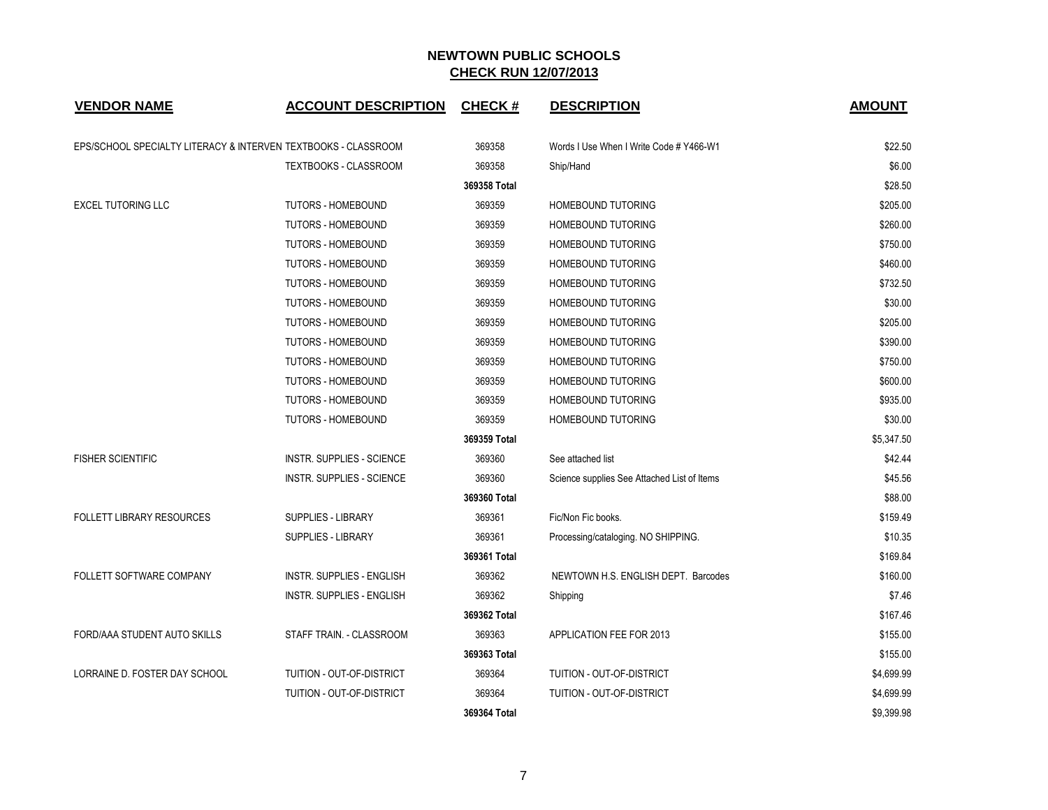| <b>VENDOR NAME</b>                                             | <b>ACCOUNT DESCRIPTION</b>       | <b>CHECK#</b> | <b>DESCRIPTION</b>                          | <b>AMOUNT</b> |
|----------------------------------------------------------------|----------------------------------|---------------|---------------------------------------------|---------------|
| EPS/SCHOOL SPECIALTY LITERACY & INTERVEN TEXTBOOKS - CLASSROOM |                                  | 369358        | Words I Use When I Write Code # Y466-W1     | \$22.50       |
|                                                                | <b>TEXTBOOKS - CLASSROOM</b>     | 369358        | Ship/Hand                                   | \$6.00        |
|                                                                |                                  | 369358 Total  |                                             | \$28.50       |
| <b>EXCEL TUTORING LLC</b>                                      | <b>TUTORS - HOMEBOUND</b>        | 369359        | HOMEBOUND TUTORING                          | \$205.00      |
|                                                                | <b>TUTORS - HOMEBOUND</b>        | 369359        | <b>HOMEBOUND TUTORING</b>                   | \$260.00      |
|                                                                | <b>TUTORS - HOMEBOUND</b>        | 369359        | <b>HOMEBOUND TUTORING</b>                   | \$750.00      |
|                                                                | TUTORS - HOMEBOUND               | 369359        | HOMEBOUND TUTORING                          | \$460.00      |
|                                                                | TUTORS - HOMEBOUND               | 369359        | HOMEBOUND TUTORING                          | \$732.50      |
|                                                                | <b>TUTORS - HOMEBOUND</b>        | 369359        | <b>HOMEBOUND TUTORING</b>                   | \$30.00       |
|                                                                | <b>TUTORS - HOMEBOUND</b>        | 369359        | <b>HOMEBOUND TUTORING</b>                   | \$205.00      |
|                                                                | TUTORS - HOMEBOUND               | 369359        | <b>HOMEBOUND TUTORING</b>                   | \$390.00      |
|                                                                | TUTORS - HOMEBOUND               | 369359        | HOMEBOUND TUTORING                          | \$750.00      |
|                                                                | <b>TUTORS - HOMEBOUND</b>        | 369359        | <b>HOMEBOUND TUTORING</b>                   | \$600.00      |
|                                                                | <b>TUTORS - HOMEBOUND</b>        | 369359        | <b>HOMEBOUND TUTORING</b>                   | \$935.00      |
|                                                                | TUTORS - HOMEBOUND               | 369359        | <b>HOMEBOUND TUTORING</b>                   | \$30.00       |
|                                                                |                                  | 369359 Total  |                                             | \$5,347.50    |
| <b>FISHER SCIENTIFIC</b>                                       | <b>INSTR. SUPPLIES - SCIENCE</b> | 369360        | See attached list                           | \$42.44       |
|                                                                | <b>INSTR. SUPPLIES - SCIENCE</b> | 369360        | Science supplies See Attached List of Items | \$45.56       |
|                                                                |                                  | 369360 Total  |                                             | \$88.00       |
| <b>FOLLETT LIBRARY RESOURCES</b>                               | <b>SUPPLIES - LIBRARY</b>        | 369361        | Fic/Non Fic books.                          | \$159.49      |
|                                                                | <b>SUPPLIES - LIBRARY</b>        | 369361        | Processing/cataloging. NO SHIPPING.         | \$10.35       |
|                                                                |                                  | 369361 Total  |                                             | \$169.84      |
| FOLLETT SOFTWARE COMPANY                                       | <b>INSTR. SUPPLIES - ENGLISH</b> | 369362        | NEWTOWN H.S. ENGLISH DEPT. Barcodes         | \$160.00      |
|                                                                | <b>INSTR. SUPPLIES - ENGLISH</b> | 369362        | Shipping                                    | \$7.46        |
|                                                                |                                  | 369362 Total  |                                             | \$167.46      |
| FORD/AAA STUDENT AUTO SKILLS                                   | STAFF TRAIN. - CLASSROOM         | 369363        | APPLICATION FEE FOR 2013                    | \$155.00      |
|                                                                |                                  | 369363 Total  |                                             | \$155.00      |
| LORRAINE D. FOSTER DAY SCHOOL                                  | TUITION - OUT-OF-DISTRICT        | 369364        | TUITION - OUT-OF-DISTRICT                   | \$4,699.99    |
|                                                                | TUITION - OUT-OF-DISTRICT        | 369364        | TUITION - OUT-OF-DISTRICT                   | \$4,699.99    |
|                                                                |                                  | 369364 Total  |                                             | \$9,399.98    |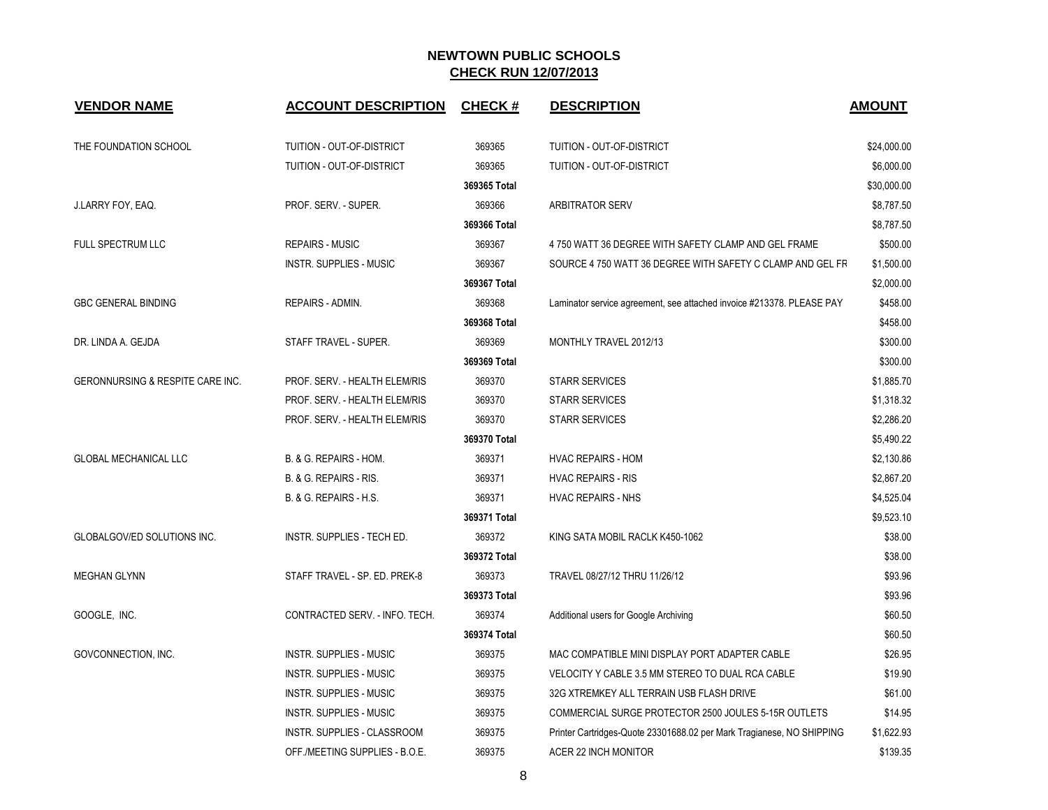| <b>VENDOR NAME</b>                 | <b>ACCOUNT DESCRIPTION</b>        | <b>CHECK#</b> | <b>DESCRIPTION</b>                                                    | <b>AMOUNT</b> |
|------------------------------------|-----------------------------------|---------------|-----------------------------------------------------------------------|---------------|
| THE FOUNDATION SCHOOL              | TUITION - OUT-OF-DISTRICT         | 369365        | TUITION - OUT-OF-DISTRICT                                             | \$24,000.00   |
|                                    | TUITION - OUT-OF-DISTRICT         | 369365        | TUITION - OUT-OF-DISTRICT                                             | \$6,000.00    |
|                                    |                                   | 369365 Total  |                                                                       | \$30,000.00   |
| J.LARRY FOY, EAQ.                  | PROF. SERV. - SUPER.              | 369366        | <b>ARBITRATOR SERV</b>                                                | \$8,787.50    |
|                                    |                                   | 369366 Total  |                                                                       | \$8,787.50    |
| FULL SPECTRUM LLC                  | <b>REPAIRS - MUSIC</b>            | 369367        | 4 750 WATT 36 DEGREE WITH SAFETY CLAMP AND GEL FRAME                  | \$500.00      |
|                                    | <b>INSTR. SUPPLIES - MUSIC</b>    | 369367        | SOURCE 4 750 WATT 36 DEGREE WITH SAFETY C CLAMP AND GEL FR            | \$1,500.00    |
|                                    |                                   | 369367 Total  |                                                                       | \$2,000.00    |
| <b>GBC GENERAL BINDING</b>         | REPAIRS - ADMIN.                  | 369368        | Laminator service agreement, see attached invoice #213378. PLEASE PAY | \$458.00      |
|                                    |                                   | 369368 Total  |                                                                       | \$458.00      |
| DR. LINDA A. GEJDA                 | STAFF TRAVEL - SUPER.             | 369369        | MONTHLY TRAVEL 2012/13                                                | \$300.00      |
|                                    |                                   | 369369 Total  |                                                                       | \$300.00      |
| GERONNURSING & RESPITE CARE INC.   | PROF. SERV. - HEALTH ELEM/RIS     | 369370        | <b>STARR SERVICES</b>                                                 | \$1,885.70    |
|                                    | PROF. SERV. - HEALTH ELEM/RIS     | 369370        | <b>STARR SERVICES</b>                                                 | \$1,318.32    |
|                                    | PROF. SERV. - HEALTH ELEM/RIS     | 369370        | <b>STARR SERVICES</b>                                                 | \$2,286.20    |
|                                    |                                   | 369370 Total  |                                                                       | \$5,490.22    |
| <b>GLOBAL MECHANICAL LLC</b>       | B. & G. REPAIRS - HOM.            | 369371        | <b>HVAC REPAIRS - HOM</b>                                             | \$2,130.86    |
|                                    | B. & G. REPAIRS - RIS.            | 369371        | <b>HVAC REPAIRS - RIS</b>                                             | \$2,867.20    |
|                                    | <b>B. &amp; G. REPAIRS - H.S.</b> | 369371        | <b>HVAC REPAIRS - NHS</b>                                             | \$4,525.04    |
|                                    |                                   | 369371 Total  |                                                                       | \$9,523.10    |
| <b>GLOBALGOV/ED SOLUTIONS INC.</b> | INSTR. SUPPLIES - TECH ED.        | 369372        | KING SATA MOBIL RACLK K450-1062                                       | \$38.00       |
|                                    |                                   | 369372 Total  |                                                                       | \$38.00       |
| <b>MEGHAN GLYNN</b>                | STAFF TRAVEL - SP. ED. PREK-8     | 369373        | TRAVEL 08/27/12 THRU 11/26/12                                         | \$93.96       |
|                                    |                                   | 369373 Total  |                                                                       | \$93.96       |
| GOOGLE, INC.                       | CONTRACTED SERV. - INFO. TECH.    | 369374        | Additional users for Google Archiving                                 | \$60.50       |
|                                    |                                   | 369374 Total  |                                                                       | \$60.50       |
| GOVCONNECTION, INC.                | <b>INSTR. SUPPLIES - MUSIC</b>    | 369375        | MAC COMPATIBLE MINI DISPLAY PORT ADAPTER CABLE                        | \$26.95       |
|                                    | <b>INSTR. SUPPLIES - MUSIC</b>    | 369375        | VELOCITY Y CABLE 3.5 MM STEREO TO DUAL RCA CABLE                      | \$19.90       |
|                                    | <b>INSTR. SUPPLIES - MUSIC</b>    | 369375        | 32G XTREMKEY ALL TERRAIN USB FLASH DRIVE                              | \$61.00       |
|                                    | <b>INSTR. SUPPLIES - MUSIC</b>    | 369375        | COMMERCIAL SURGE PROTECTOR 2500 JOULES 5-15R OUTLETS                  | \$14.95       |
|                                    | INSTR. SUPPLIES - CLASSROOM       | 369375        | Printer Cartridges-Quote 23301688.02 per Mark Tragianese, NO SHIPPING | \$1,622.93    |
|                                    | OFF./MEETING SUPPLIES - B.O.E.    | 369375        | ACER 22 INCH MONITOR                                                  | \$139.35      |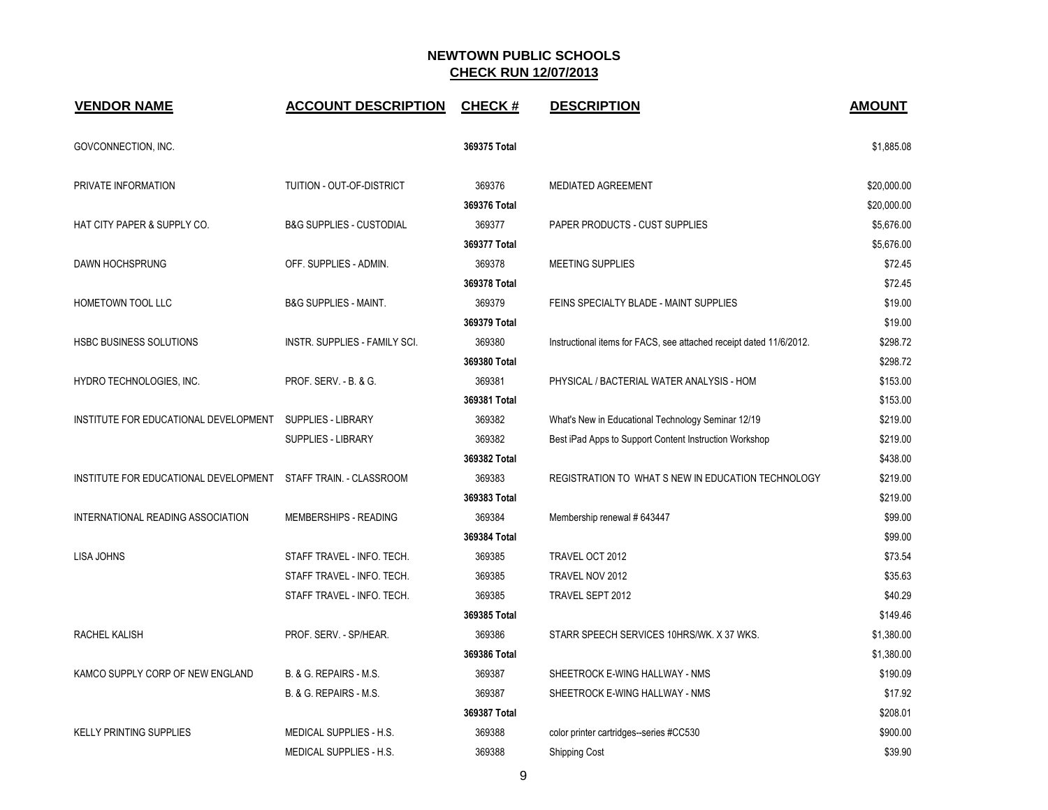| <b>VENDOR NAME</b>                                              | <b>ACCOUNT DESCRIPTION</b>          | <b>CHECK#</b> | <b>DESCRIPTION</b>                                                  | <b>AMOUNT</b> |
|-----------------------------------------------------------------|-------------------------------------|---------------|---------------------------------------------------------------------|---------------|
| GOVCONNECTION, INC.                                             |                                     | 369375 Total  |                                                                     | \$1,885.08    |
| PRIVATE INFORMATION                                             | TUITION - OUT-OF-DISTRICT           | 369376        | <b>MEDIATED AGREEMENT</b>                                           | \$20,000.00   |
|                                                                 |                                     | 369376 Total  |                                                                     | \$20,000.00   |
| HAT CITY PAPER & SUPPLY CO.                                     | <b>B&amp;G SUPPLIES - CUSTODIAL</b> | 369377        | PAPER PRODUCTS - CUST SUPPLIES                                      | \$5,676.00    |
|                                                                 |                                     | 369377 Total  |                                                                     | \$5,676.00    |
| DAWN HOCHSPRUNG                                                 | OFF. SUPPLIES - ADMIN.              | 369378        | MEETING SUPPLIES                                                    | \$72.45       |
|                                                                 |                                     | 369378 Total  |                                                                     | \$72.45       |
| HOMETOWN TOOL LLC                                               | <b>B&amp;G SUPPLIES - MAINT.</b>    | 369379        | FEINS SPECIALTY BLADE - MAINT SUPPLIES                              | \$19.00       |
|                                                                 |                                     | 369379 Total  |                                                                     | \$19.00       |
| <b>HSBC BUSINESS SOLUTIONS</b>                                  | INSTR. SUPPLIES - FAMILY SCI.       | 369380        | Instructional items for FACS, see attached receipt dated 11/6/2012. | \$298.72      |
|                                                                 |                                     | 369380 Total  |                                                                     | \$298.72      |
| HYDRO TECHNOLOGIES, INC.                                        | PROF. SERV. - B. & G.               | 369381        | PHYSICAL / BACTERIAL WATER ANALYSIS - HOM                           | \$153.00      |
|                                                                 |                                     | 369381 Total  |                                                                     | \$153.00      |
| INSTITUTE FOR EDUCATIONAL DEVELOPMENT                           | <b>SUPPLIES - LIBRARY</b>           | 369382        | What's New in Educational Technology Seminar 12/19                  | \$219.00      |
|                                                                 | <b>SUPPLIES - LIBRARY</b>           | 369382        | Best iPad Apps to Support Content Instruction Workshop              | \$219.00      |
|                                                                 |                                     | 369382 Total  |                                                                     | \$438.00      |
| INSTITUTE FOR EDUCATIONAL DEVELOPMENT  STAFF TRAIN. - CLASSROOM |                                     | 369383        | REGISTRATION TO WHAT S NEW IN EDUCATION TECHNOLOGY                  | \$219.00      |
|                                                                 |                                     | 369383 Total  |                                                                     | \$219.00      |
| INTERNATIONAL READING ASSOCIATION                               | MEMBERSHIPS - READING               | 369384        | Membership renewal # 643447                                         | \$99.00       |
|                                                                 |                                     | 369384 Total  |                                                                     | \$99.00       |
| <b>LISA JOHNS</b>                                               | STAFF TRAVEL - INFO. TECH.          | 369385        | TRAVEL OCT 2012                                                     | \$73.54       |
|                                                                 | STAFF TRAVEL - INFO. TECH.          | 369385        | TRAVEL NOV 2012                                                     | \$35.63       |
|                                                                 | STAFF TRAVEL - INFO. TECH.          | 369385        | TRAVEL SEPT 2012                                                    | \$40.29       |
|                                                                 |                                     | 369385 Total  |                                                                     | \$149.46      |
| RACHEL KALISH                                                   | PROF. SERV. - SP/HEAR.              | 369386        | STARR SPEECH SERVICES 10HRS/WK. X 37 WKS.                           | \$1,380.00    |
|                                                                 |                                     | 369386 Total  |                                                                     | \$1,380.00    |
| KAMCO SUPPLY CORP OF NEW ENGLAND                                | B. & G. REPAIRS - M.S.              | 369387        | SHEETROCK E-WING HALLWAY - NMS                                      | \$190.09      |
|                                                                 | B. & G. REPAIRS - M.S.              | 369387        | SHEETROCK E-WING HALLWAY - NMS                                      | \$17.92       |
|                                                                 |                                     | 369387 Total  |                                                                     | \$208.01      |
| <b>KELLY PRINTING SUPPLIES</b>                                  | MEDICAL SUPPLIES - H.S.             | 369388        | color printer cartridges--series #CC530                             | \$900.00      |
|                                                                 | MEDICAL SUPPLIES - H.S.             | 369388        | <b>Shipping Cost</b>                                                | \$39.90       |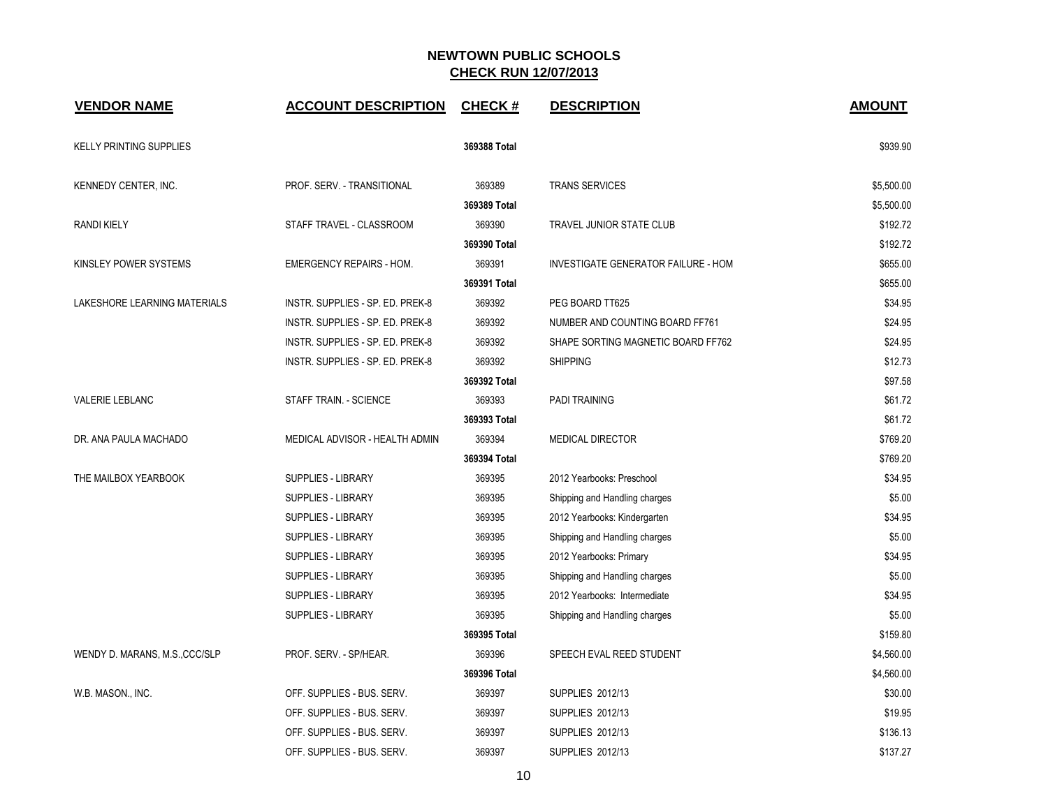| <b>VENDOR NAME</b>             | <b>ACCOUNT DESCRIPTION</b>       | <b>CHECK#</b> | <b>DESCRIPTION</b>                         | <b>AMOUNT</b> |
|--------------------------------|----------------------------------|---------------|--------------------------------------------|---------------|
| <b>KELLY PRINTING SUPPLIES</b> |                                  | 369388 Total  |                                            | \$939.90      |
| KENNEDY CENTER, INC.           | PROF. SERV. - TRANSITIONAL       | 369389        | <b>TRANS SERVICES</b>                      | \$5,500.00    |
|                                |                                  | 369389 Total  |                                            | \$5,500.00    |
| <b>RANDI KIELY</b>             | STAFF TRAVEL - CLASSROOM         | 369390        | TRAVEL JUNIOR STATE CLUB                   | \$192.72      |
|                                |                                  | 369390 Total  |                                            | \$192.72      |
| KINSLEY POWER SYSTEMS          | <b>EMERGENCY REPAIRS - HOM.</b>  | 369391        | <b>INVESTIGATE GENERATOR FAILURE - HOM</b> | \$655.00      |
|                                |                                  | 369391 Total  |                                            | \$655.00      |
| LAKESHORE LEARNING MATERIALS   | INSTR. SUPPLIES - SP. ED. PREK-8 | 369392        | PEG BOARD TT625                            | \$34.95       |
|                                | INSTR. SUPPLIES - SP. ED. PREK-8 | 369392        | NUMBER AND COUNTING BOARD FF761            | \$24.95       |
|                                | INSTR. SUPPLIES - SP. ED. PREK-8 | 369392        | SHAPE SORTING MAGNETIC BOARD FF762         | \$24.95       |
|                                | INSTR. SUPPLIES - SP. ED. PREK-8 | 369392        | <b>SHIPPING</b>                            | \$12.73       |
|                                |                                  | 369392 Total  |                                            | \$97.58       |
| <b>VALERIE LEBLANC</b>         | STAFF TRAIN. - SCIENCE           | 369393        | <b>PADI TRAINING</b>                       | \$61.72       |
|                                |                                  | 369393 Total  |                                            | \$61.72       |
| DR. ANA PAULA MACHADO          | MEDICAL ADVISOR - HEALTH ADMIN   | 369394        | <b>MEDICAL DIRECTOR</b>                    | \$769.20      |
|                                |                                  | 369394 Total  |                                            | \$769.20      |
| THE MAILBOX YEARBOOK           | SUPPLIES - LIBRARY               | 369395        | 2012 Yearbooks: Preschool                  | \$34.95       |
|                                | <b>SUPPLIES - LIBRARY</b>        | 369395        | Shipping and Handling charges              | \$5.00        |
|                                | <b>SUPPLIES - LIBRARY</b>        | 369395        | 2012 Yearbooks: Kindergarten               | \$34.95       |
|                                | <b>SUPPLIES - LIBRARY</b>        | 369395        | Shipping and Handling charges              | \$5.00        |
|                                | <b>SUPPLIES - LIBRARY</b>        | 369395        | 2012 Yearbooks: Primary                    | \$34.95       |
|                                | <b>SUPPLIES - LIBRARY</b>        | 369395        | Shipping and Handling charges              | \$5.00        |
|                                | <b>SUPPLIES - LIBRARY</b>        | 369395        | 2012 Yearbooks: Intermediate               | \$34.95       |
|                                | <b>SUPPLIES - LIBRARY</b>        | 369395        | Shipping and Handling charges              | \$5.00        |
|                                |                                  | 369395 Total  |                                            | \$159.80      |
| WENDY D. MARANS, M.S., CCC/SLP | PROF. SERV. - SP/HEAR.           | 369396        | SPEECH EVAL REED STUDENT                   | \$4,560.00    |
|                                |                                  | 369396 Total  |                                            | \$4,560.00    |
| W.B. MASON., INC.              | OFF. SUPPLIES - BUS. SERV.       | 369397        | SUPPLIES 2012/13                           | \$30.00       |
|                                | OFF. SUPPLIES - BUS. SERV.       | 369397        | SUPPLIES 2012/13                           | \$19.95       |
|                                | OFF. SUPPLIES - BUS. SERV.       | 369397        | <b>SUPPLIES 2012/13</b>                    | \$136.13      |
|                                | OFF. SUPPLIES - BUS. SERV.       | 369397        | <b>SUPPLIES 2012/13</b>                    | \$137.27      |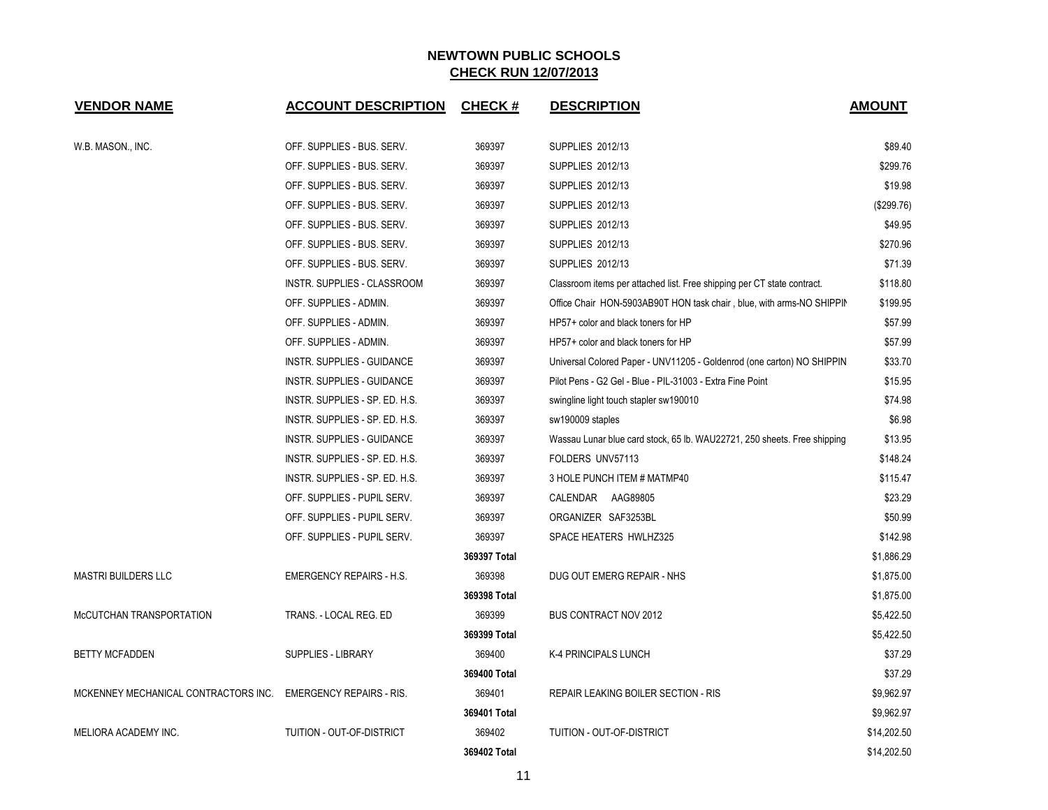| <b>VENDOR NAME</b>                   | <b>ACCOUNT DESCRIPTION</b>      | <b>CHECK#</b> | <b>DESCRIPTION</b>                                                       | <b>AMOUNT</b> |
|--------------------------------------|---------------------------------|---------------|--------------------------------------------------------------------------|---------------|
|                                      |                                 |               |                                                                          |               |
| W.B. MASON., INC.                    | OFF. SUPPLIES - BUS. SERV.      | 369397        | SUPPLIES 2012/13                                                         | \$89.40       |
|                                      | OFF. SUPPLIES - BUS. SERV.      | 369397        | SUPPLIES 2012/13                                                         | \$299.76      |
|                                      | OFF. SUPPLIES - BUS. SERV.      | 369397        | SUPPLIES 2012/13                                                         | \$19.98       |
|                                      | OFF. SUPPLIES - BUS. SERV.      | 369397        | SUPPLIES 2012/13                                                         | (\$299.76)    |
|                                      | OFF. SUPPLIES - BUS. SERV.      | 369397        | <b>SUPPLIES 2012/13</b>                                                  | \$49.95       |
|                                      | OFF. SUPPLIES - BUS. SERV.      | 369397        | <b>SUPPLIES 2012/13</b>                                                  | \$270.96      |
|                                      | OFF. SUPPLIES - BUS. SERV.      | 369397        | SUPPLIES 2012/13                                                         | \$71.39       |
|                                      | INSTR. SUPPLIES - CLASSROOM     | 369397        | Classroom items per attached list. Free shipping per CT state contract.  | \$118.80      |
|                                      | OFF. SUPPLIES - ADMIN.          | 369397        | Office Chair HON-5903AB90T HON task chair, blue, with arms-NO SHIPPIN    | \$199.95      |
|                                      | OFF. SUPPLIES - ADMIN.          | 369397        | HP57+ color and black toners for HP                                      | \$57.99       |
|                                      | OFF. SUPPLIES - ADMIN.          | 369397        | HP57+ color and black toners for HP                                      | \$57.99       |
|                                      | INSTR. SUPPLIES - GUIDANCE      | 369397        | Universal Colored Paper - UNV11205 - Goldenrod (one carton) NO SHIPPIN   | \$33.70       |
|                                      | INSTR. SUPPLIES - GUIDANCE      | 369397        | Pilot Pens - G2 Gel - Blue - PIL-31003 - Extra Fine Point                | \$15.95       |
|                                      | INSTR. SUPPLIES - SP. ED. H.S.  | 369397        | swingline light touch stapler sw190010                                   | \$74.98       |
|                                      | INSTR. SUPPLIES - SP. ED. H.S.  | 369397        | sw190009 staples                                                         | \$6.98        |
|                                      | INSTR. SUPPLIES - GUIDANCE      | 369397        | Wassau Lunar blue card stock, 65 lb. WAU22721, 250 sheets. Free shipping | \$13.95       |
|                                      | INSTR. SUPPLIES - SP. ED. H.S.  | 369397        | FOLDERS UNV57113                                                         | \$148.24      |
|                                      | INSTR. SUPPLIES - SP. ED. H.S.  | 369397        | 3 HOLE PUNCH ITEM # MATMP40                                              | \$115.47      |
|                                      | OFF. SUPPLIES - PUPIL SERV.     | 369397        | CALENDAR AAG89805                                                        | \$23.29       |
|                                      | OFF. SUPPLIES - PUPIL SERV.     | 369397        | ORGANIZER SAF3253BL                                                      | \$50.99       |
|                                      | OFF. SUPPLIES - PUPIL SERV.     | 369397        | SPACE HEATERS HWLHZ325                                                   | \$142.98      |
|                                      |                                 | 369397 Total  |                                                                          | \$1,886.29    |
| <b>MASTRI BUILDERS LLC</b>           | <b>EMERGENCY REPAIRS - H.S.</b> | 369398        | DUG OUT EMERG REPAIR - NHS                                               | \$1,875.00    |
|                                      |                                 | 369398 Total  |                                                                          | \$1,875.00    |
| McCUTCHAN TRANSPORTATION             | TRANS. - LOCAL REG. ED          | 369399        | <b>BUS CONTRACT NOV 2012</b>                                             | \$5,422.50    |
|                                      |                                 | 369399 Total  |                                                                          | \$5,422.50    |
| <b>BETTY MCFADDEN</b>                | <b>SUPPLIES - LIBRARY</b>       | 369400        | K-4 PRINCIPALS LUNCH                                                     | \$37.29       |
|                                      |                                 | 369400 Total  |                                                                          | \$37.29       |
| MCKENNEY MECHANICAL CONTRACTORS INC. | <b>EMERGENCY REPAIRS - RIS.</b> | 369401        | REPAIR LEAKING BOILER SECTION - RIS                                      | \$9,962.97    |
|                                      |                                 | 369401 Total  |                                                                          | \$9,962.97    |
| MELIORA ACADEMY INC.                 | TUITION - OUT-OF-DISTRICT       | 369402        | TUITION - OUT-OF-DISTRICT                                                | \$14,202.50   |
|                                      |                                 | 369402 Total  |                                                                          | \$14,202.50   |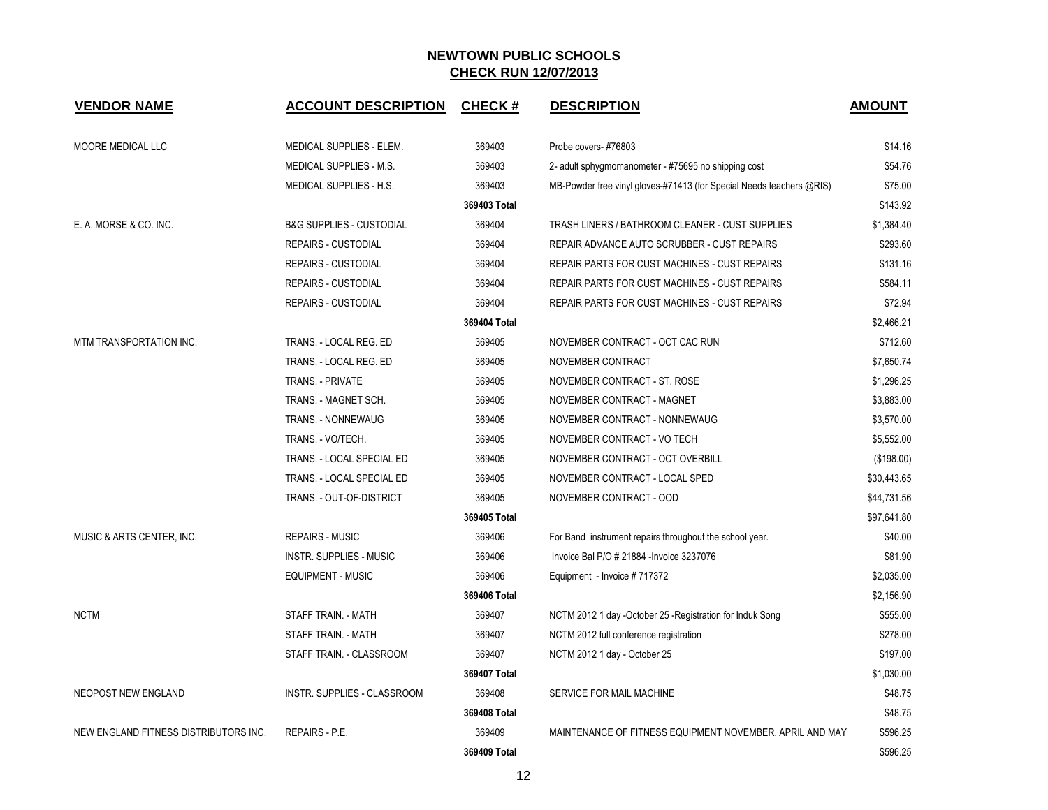| <b>VENDOR NAME</b>                    | <b>ACCOUNT DESCRIPTION</b>          | <b>CHECK#</b> | <b>DESCRIPTION</b>                                                   | <b>AMOUNT</b> |
|---------------------------------------|-------------------------------------|---------------|----------------------------------------------------------------------|---------------|
| MOORE MEDICAL LLC                     | MEDICAL SUPPLIES - ELEM.            | 369403        | Probe covers-#76803                                                  | \$14.16       |
|                                       | <b>MEDICAL SUPPLIES - M.S.</b>      | 369403        | 2- adult sphygmomanometer - #75695 no shipping cost                  | \$54.76       |
|                                       | MEDICAL SUPPLIES - H.S.             | 369403        | MB-Powder free vinyl gloves-#71413 (for Special Needs teachers @RIS) | \$75.00       |
|                                       |                                     | 369403 Total  |                                                                      | \$143.92      |
| E. A. MORSE & CO. INC.                | <b>B&amp;G SUPPLIES - CUSTODIAL</b> | 369404        | TRASH LINERS / BATHROOM CLEANER - CUST SUPPLIES                      | \$1,384.40    |
|                                       | <b>REPAIRS - CUSTODIAL</b>          | 369404        | REPAIR ADVANCE AUTO SCRUBBER - CUST REPAIRS                          | \$293.60      |
|                                       | <b>REPAIRS - CUSTODIAL</b>          | 369404        | REPAIR PARTS FOR CUST MACHINES - CUST REPAIRS                        | \$131.16      |
|                                       | <b>REPAIRS - CUSTODIAL</b>          | 369404        | REPAIR PARTS FOR CUST MACHINES - CUST REPAIRS                        | \$584.11      |
|                                       | <b>REPAIRS - CUSTODIAL</b>          | 369404        | <b>REPAIR PARTS FOR CUST MACHINES - CUST REPAIRS</b>                 | \$72.94       |
|                                       |                                     | 369404 Total  |                                                                      | \$2,466.21    |
| MTM TRANSPORTATION INC.               | TRANS. - LOCAL REG. ED              | 369405        | NOVEMBER CONTRACT - OCT CAC RUN                                      | \$712.60      |
|                                       | TRANS. - LOCAL REG. ED              | 369405        | NOVEMBER CONTRACT                                                    | \$7,650.74    |
|                                       | TRANS. - PRIVATE                    | 369405        | NOVEMBER CONTRACT - ST. ROSE                                         | \$1,296.25    |
|                                       | TRANS. - MAGNET SCH.                | 369405        | NOVEMBER CONTRACT - MAGNET                                           | \$3,883.00    |
|                                       | <b>TRANS. - NONNEWAUG</b>           | 369405        | NOVEMBER CONTRACT - NONNEWAUG                                        | \$3,570.00    |
|                                       | TRANS. - VO/TECH.                   | 369405        | NOVEMBER CONTRACT - VO TECH                                          | \$5,552.00    |
|                                       | TRANS. - LOCAL SPECIAL ED           | 369405        | NOVEMBER CONTRACT - OCT OVERBILL                                     | (\$198.00)    |
|                                       | TRANS. - LOCAL SPECIAL ED           | 369405        | NOVEMBER CONTRACT - LOCAL SPED                                       | \$30,443.65   |
|                                       | TRANS. - OUT-OF-DISTRICT            | 369405        | NOVEMBER CONTRACT - OOD                                              | \$44,731.56   |
|                                       |                                     | 369405 Total  |                                                                      | \$97,641.80   |
| MUSIC & ARTS CENTER, INC.             | <b>REPAIRS - MUSIC</b>              | 369406        | For Band instrument repairs throughout the school year.              | \$40.00       |
|                                       | <b>INSTR. SUPPLIES - MUSIC</b>      | 369406        | Invoice Bal P/O # 21884 - Invoice 3237076                            | \$81.90       |
|                                       | <b>EQUIPMENT - MUSIC</b>            | 369406        | Equipment - Invoice #717372                                          | \$2,035.00    |
|                                       |                                     | 369406 Total  |                                                                      | \$2,156.90    |
| <b>NCTM</b>                           | STAFF TRAIN. - MATH                 | 369407        | NCTM 2012 1 day -October 25 -Registration for Induk Song             | \$555.00      |
|                                       | STAFF TRAIN. - MATH                 | 369407        | NCTM 2012 full conference registration                               | \$278.00      |
|                                       | STAFF TRAIN. - CLASSROOM            | 369407        | NCTM 2012 1 day - October 25                                         | \$197.00      |
|                                       |                                     | 369407 Total  |                                                                      | \$1,030.00    |
| NEOPOST NEW ENGLAND                   | INSTR. SUPPLIES - CLASSROOM         | 369408        | SERVICE FOR MAIL MACHINE                                             | \$48.75       |
|                                       |                                     | 369408 Total  |                                                                      | \$48.75       |
| NEW ENGLAND FITNESS DISTRIBUTORS INC. | REPAIRS - P.E.                      | 369409        | MAINTENANCE OF FITNESS EQUIPMENT NOVEMBER, APRIL AND MAY             | \$596.25      |
|                                       |                                     | 369409 Total  |                                                                      | \$596.25      |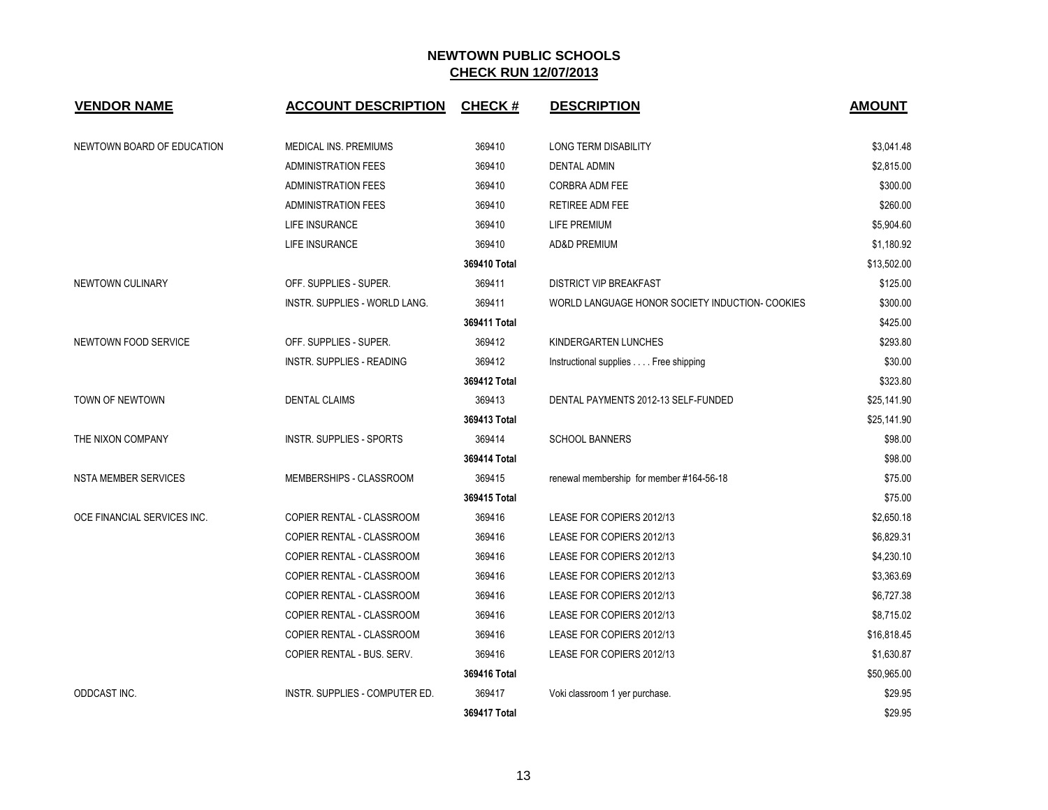| <b>VENDOR NAME</b>          | <b>ACCOUNT DESCRIPTION</b>           | <b>CHECK#</b> | <b>DESCRIPTION</b>                              | <b>AMOUNT</b> |
|-----------------------------|--------------------------------------|---------------|-------------------------------------------------|---------------|
| NEWTOWN BOARD OF EDUCATION  | MEDICAL INS. PREMIUMS                | 369410        | LONG TERM DISABILITY                            | \$3,041.48    |
|                             | <b>ADMINISTRATION FEES</b>           | 369410        | <b>DENTAL ADMIN</b>                             | \$2,815.00    |
|                             | <b>ADMINISTRATION FEES</b>           | 369410        | CORBRA ADM FEE                                  | \$300.00      |
|                             | <b>ADMINISTRATION FEES</b>           | 369410        | RETIREE ADM FEE                                 | \$260.00      |
|                             | LIFE INSURANCE                       | 369410        | LIFE PREMIUM                                    | \$5,904.60    |
|                             | LIFE INSURANCE                       | 369410        | <b>AD&amp;D PREMIUM</b>                         | \$1,180.92    |
|                             |                                      | 369410 Total  |                                                 | \$13,502.00   |
| NEWTOWN CULINARY            | OFF. SUPPLIES - SUPER.               | 369411        | <b>DISTRICT VIP BREAKFAST</b>                   | \$125.00      |
|                             | <b>INSTR. SUPPLIES - WORLD LANG.</b> | 369411        | WORLD LANGUAGE HONOR SOCIETY INDUCTION- COOKIES | \$300.00      |
|                             |                                      | 369411 Total  |                                                 | \$425.00      |
| NEWTOWN FOOD SERVICE        | OFF. SUPPLIES - SUPER.               | 369412        | KINDERGARTEN LUNCHES                            | \$293.80      |
|                             | <b>INSTR. SUPPLIES - READING</b>     | 369412        | Instructional supplies Free shipping            | \$30.00       |
|                             |                                      | 369412 Total  |                                                 | \$323.80      |
| TOWN OF NEWTOWN             | <b>DENTAL CLAIMS</b>                 | 369413        | DENTAL PAYMENTS 2012-13 SELF-FUNDED             | \$25,141.90   |
|                             |                                      | 369413 Total  |                                                 | \$25,141.90   |
| THE NIXON COMPANY           | INSTR. SUPPLIES - SPORTS             | 369414        | <b>SCHOOL BANNERS</b>                           | \$98.00       |
|                             |                                      | 369414 Total  |                                                 | \$98.00       |
| NSTA MEMBER SERVICES        | MEMBERSHIPS - CLASSROOM              | 369415        | renewal membership for member #164-56-18        | \$75.00       |
|                             |                                      | 369415 Total  |                                                 | \$75.00       |
| OCE FINANCIAL SERVICES INC. | COPIER RENTAL - CLASSROOM            | 369416        | LEASE FOR COPIERS 2012/13                       | \$2,650.18    |
|                             | COPIER RENTAL - CLASSROOM            | 369416        | LEASE FOR COPIERS 2012/13                       | \$6,829.31    |
|                             | COPIER RENTAL - CLASSROOM            | 369416        | LEASE FOR COPIERS 2012/13                       | \$4,230.10    |
|                             | COPIER RENTAL - CLASSROOM            | 369416        | LEASE FOR COPIERS 2012/13                       | \$3,363.69    |
|                             | COPIER RENTAL - CLASSROOM            | 369416        | LEASE FOR COPIERS 2012/13                       | \$6,727.38    |
|                             | COPIER RENTAL - CLASSROOM            | 369416        | LEASE FOR COPIERS 2012/13                       | \$8,715.02    |
|                             | COPIER RENTAL - CLASSROOM            | 369416        | LEASE FOR COPIERS 2012/13                       | \$16,818.45   |
|                             | COPIER RENTAL - BUS. SERV.           | 369416        | LEASE FOR COPIERS 2012/13                       | \$1,630.87    |
|                             |                                      | 369416 Total  |                                                 | \$50,965.00   |
| ODDCAST INC.                | INSTR. SUPPLIES - COMPUTER ED.       | 369417        | Voki classroom 1 yer purchase.                  | \$29.95       |
|                             |                                      | 369417 Total  |                                                 | \$29.95       |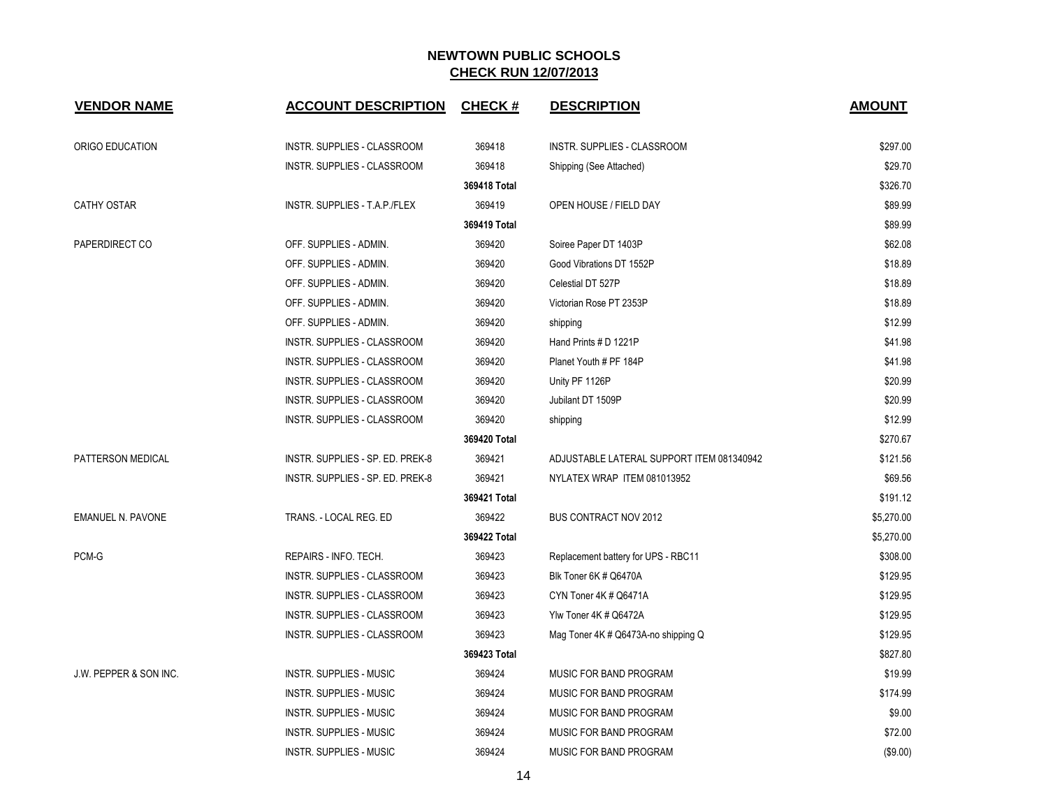| <b>VENDOR NAME</b>       | <b>ACCOUNT DESCRIPTION</b>         | <b>CHECK#</b> | <b>DESCRIPTION</b>                        | <b>AMOUNT</b> |
|--------------------------|------------------------------------|---------------|-------------------------------------------|---------------|
| ORIGO EDUCATION          | INSTR. SUPPLIES - CLASSROOM        | 369418        | INSTR. SUPPLIES - CLASSROOM               | \$297.00      |
|                          | INSTR. SUPPLIES - CLASSROOM        | 369418        | Shipping (See Attached)                   | \$29.70       |
|                          |                                    | 369418 Total  |                                           | \$326.70      |
| <b>CATHY OSTAR</b>       | INSTR. SUPPLIES - T.A.P./FLEX      | 369419        | OPEN HOUSE / FIELD DAY                    | \$89.99       |
|                          |                                    | 369419 Total  |                                           | \$89.99       |
| PAPERDIRECT CO           | OFF. SUPPLIES - ADMIN.             | 369420        | Soiree Paper DT 1403P                     | \$62.08       |
|                          | OFF. SUPPLIES - ADMIN.             | 369420        | Good Vibrations DT 1552P                  | \$18.89       |
|                          | OFF. SUPPLIES - ADMIN.             | 369420        | Celestial DT 527P                         | \$18.89       |
|                          | OFF. SUPPLIES - ADMIN.             | 369420        | Victorian Rose PT 2353P                   | \$18.89       |
|                          | OFF. SUPPLIES - ADMIN.             | 369420        | shipping                                  | \$12.99       |
|                          | INSTR. SUPPLIES - CLASSROOM        | 369420        | Hand Prints # D 1221P                     | \$41.98       |
|                          | INSTR. SUPPLIES - CLASSROOM        | 369420        | Planet Youth # PF 184P                    | \$41.98       |
|                          | INSTR. SUPPLIES - CLASSROOM        | 369420        | Unity PF 1126P                            | \$20.99       |
|                          | INSTR. SUPPLIES - CLASSROOM        | 369420        | Jubilant DT 1509P                         | \$20.99       |
|                          | INSTR. SUPPLIES - CLASSROOM        | 369420        | shipping                                  | \$12.99       |
|                          |                                    | 369420 Total  |                                           | \$270.67      |
| PATTERSON MEDICAL        | INSTR. SUPPLIES - SP. ED. PREK-8   | 369421        | ADJUSTABLE LATERAL SUPPORT ITEM 081340942 | \$121.56      |
|                          | INSTR. SUPPLIES - SP. ED. PREK-8   | 369421        | NYLATEX WRAP ITEM 081013952               | \$69.56       |
|                          |                                    | 369421 Total  |                                           | \$191.12      |
| <b>EMANUEL N. PAVONE</b> | TRANS. - LOCAL REG. ED             | 369422        | <b>BUS CONTRACT NOV 2012</b>              | \$5,270.00    |
|                          |                                    | 369422 Total  |                                           | \$5,270.00    |
| PCM-G                    | REPAIRS - INFO. TECH.              | 369423        | Replacement battery for UPS - RBC11       | \$308.00      |
|                          | <b>INSTR. SUPPLIES - CLASSROOM</b> | 369423        | Blk Toner 6K # Q6470A                     | \$129.95      |
|                          | INSTR. SUPPLIES - CLASSROOM        | 369423        | CYN Toner 4K # Q6471A                     | \$129.95      |
|                          | INSTR. SUPPLIES - CLASSROOM        | 369423        | Ylw Toner 4K # Q6472A                     | \$129.95      |
|                          | INSTR. SUPPLIES - CLASSROOM        | 369423        | Mag Toner 4K # Q6473A-no shipping Q       | \$129.95      |
|                          |                                    | 369423 Total  |                                           | \$827.80      |
| J.W. PEPPER & SON INC.   | <b>INSTR. SUPPLIES - MUSIC</b>     | 369424        | MUSIC FOR BAND PROGRAM                    | \$19.99       |
|                          | <b>INSTR. SUPPLIES - MUSIC</b>     | 369424        | MUSIC FOR BAND PROGRAM                    | \$174.99      |
|                          | <b>INSTR. SUPPLIES - MUSIC</b>     | 369424        | MUSIC FOR BAND PROGRAM                    | \$9.00        |
|                          | <b>INSTR. SUPPLIES - MUSIC</b>     | 369424        | MUSIC FOR BAND PROGRAM                    | \$72.00       |
|                          | <b>INSTR. SUPPLIES - MUSIC</b>     | 369424        | MUSIC FOR BAND PROGRAM                    | (\$9.00)      |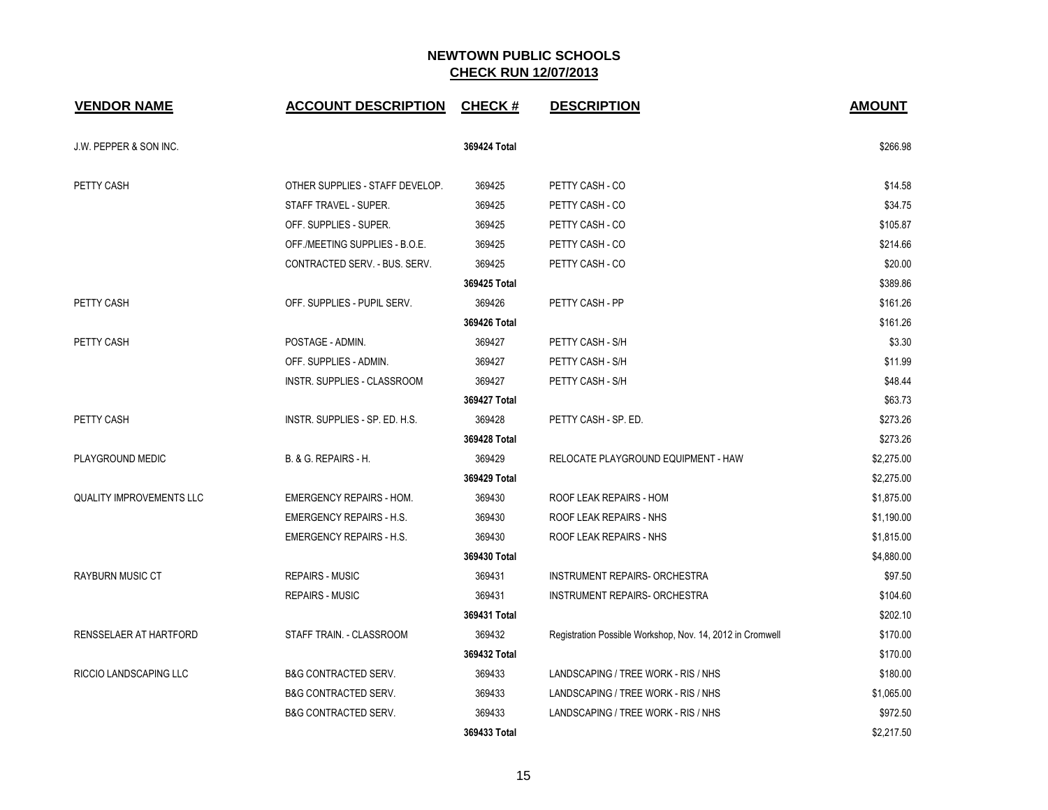| <b>VENDOR NAME</b>              | <b>ACCOUNT DESCRIPTION</b>      | <b>CHECK#</b> | <b>DESCRIPTION</b>                                        | <b>AMOUNT</b> |
|---------------------------------|---------------------------------|---------------|-----------------------------------------------------------|---------------|
| J.W. PEPPER & SON INC.          |                                 | 369424 Total  |                                                           | \$266.98      |
| PETTY CASH                      | OTHER SUPPLIES - STAFF DEVELOP. | 369425        | PETTY CASH - CO                                           | \$14.58       |
|                                 | STAFF TRAVEL - SUPER.           | 369425        | PETTY CASH - CO                                           | \$34.75       |
|                                 | OFF. SUPPLIES - SUPER.          | 369425        | PETTY CASH - CO                                           | \$105.87      |
|                                 | OFF./MEETING SUPPLIES - B.O.E.  | 369425        | PETTY CASH - CO                                           | \$214.66      |
|                                 | CONTRACTED SERV. - BUS. SERV.   | 369425        | PETTY CASH - CO                                           | \$20.00       |
|                                 |                                 | 369425 Total  |                                                           | \$389.86      |
| PETTY CASH                      | OFF. SUPPLIES - PUPIL SERV.     | 369426        | PETTY CASH - PP                                           | \$161.26      |
|                                 |                                 | 369426 Total  |                                                           | \$161.26      |
| <b>PETTY CASH</b>               | POSTAGE - ADMIN.                | 369427        | PETTY CASH - S/H                                          | \$3.30        |
|                                 | OFF. SUPPLIES - ADMIN.          | 369427        | PETTY CASH - S/H                                          | \$11.99       |
|                                 | INSTR. SUPPLIES - CLASSROOM     | 369427        | PETTY CASH - S/H                                          | \$48.44       |
|                                 |                                 | 369427 Total  |                                                           | \$63.73       |
| PETTY CASH                      | INSTR. SUPPLIES - SP. ED. H.S.  | 369428        | PETTY CASH - SP. ED.                                      | \$273.26      |
|                                 |                                 | 369428 Total  |                                                           | \$273.26      |
| PLAYGROUND MEDIC                | B. & G. REPAIRS - H.            | 369429        | RELOCATE PLAYGROUND EQUIPMENT - HAW                       | \$2,275.00    |
|                                 |                                 | 369429 Total  |                                                           | \$2,275.00    |
| <b>QUALITY IMPROVEMENTS LLC</b> | <b>EMERGENCY REPAIRS - HOM.</b> | 369430        | ROOF LEAK REPAIRS - HOM                                   | \$1,875.00    |
|                                 | <b>EMERGENCY REPAIRS - H.S.</b> | 369430        | ROOF LEAK REPAIRS - NHS                                   | \$1,190.00    |
|                                 | <b>EMERGENCY REPAIRS - H.S.</b> | 369430        | ROOF LEAK REPAIRS - NHS                                   | \$1,815.00    |
|                                 |                                 | 369430 Total  |                                                           | \$4,880.00    |
| <b>RAYBURN MUSIC CT</b>         | <b>REPAIRS - MUSIC</b>          | 369431        | INSTRUMENT REPAIRS- ORCHESTRA                             | \$97.50       |
|                                 | <b>REPAIRS - MUSIC</b>          | 369431        | <b>INSTRUMENT REPAIRS- ORCHESTRA</b>                      | \$104.60      |
|                                 |                                 | 369431 Total  |                                                           | \$202.10      |
| RENSSELAER AT HARTFORD          | STAFF TRAIN. - CLASSROOM        | 369432        | Registration Possible Workshop, Nov. 14, 2012 in Cromwell | \$170.00      |
|                                 |                                 | 369432 Total  |                                                           | \$170.00      |
| RICCIO LANDSCAPING LLC          | <b>B&amp;G CONTRACTED SERV.</b> | 369433        | LANDSCAPING / TREE WORK - RIS / NHS                       | \$180.00      |
|                                 | <b>B&amp;G CONTRACTED SERV.</b> | 369433        | LANDSCAPING / TREE WORK - RIS / NHS                       | \$1,065.00    |
|                                 | <b>B&amp;G CONTRACTED SERV.</b> | 369433        | LANDSCAPING / TREE WORK - RIS / NHS                       | \$972.50      |
|                                 |                                 | 369433 Total  |                                                           | \$2,217.50    |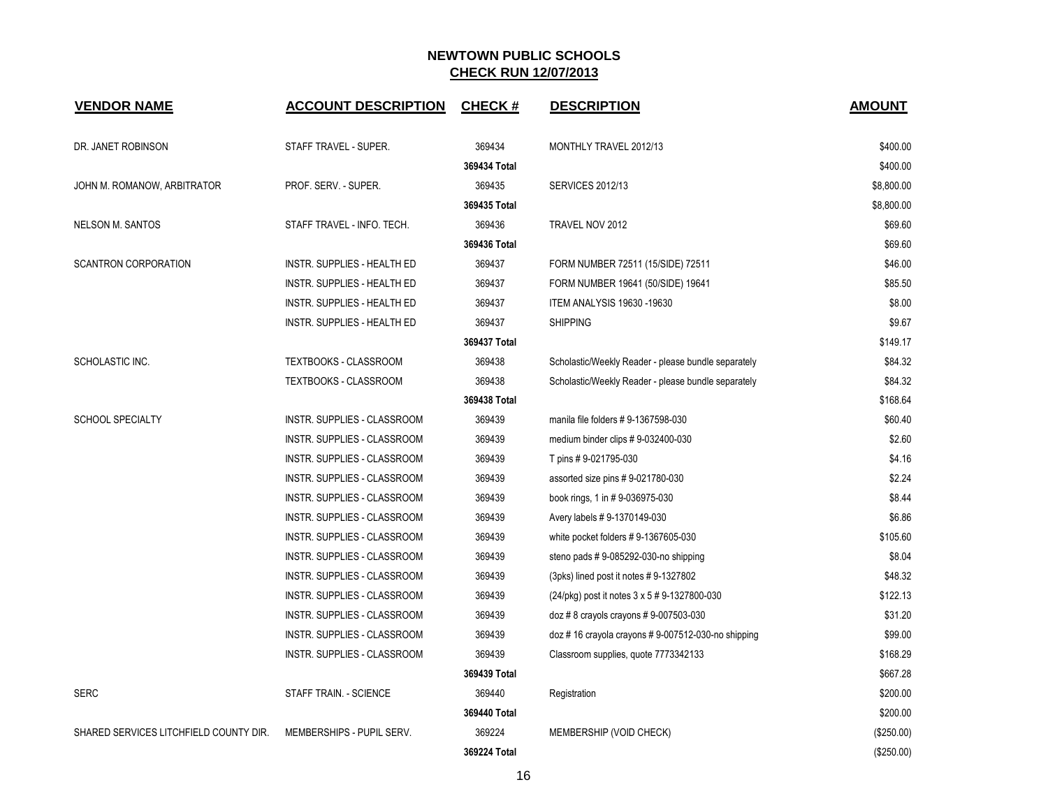| <b>VENDOR NAME</b>                     | <b>ACCOUNT DESCRIPTION</b>         | <b>CHECK#</b> | <b>DESCRIPTION</b>                                  | <b>AMOUNT</b> |
|----------------------------------------|------------------------------------|---------------|-----------------------------------------------------|---------------|
| DR. JANET ROBINSON                     | STAFF TRAVEL - SUPER.              | 369434        | <b>MONTHLY TRAVEL 2012/13</b>                       | \$400.00      |
|                                        |                                    | 369434 Total  |                                                     | \$400.00      |
| JOHN M. ROMANOW, ARBITRATOR            | PROF. SERV. - SUPER.               | 369435        | <b>SERVICES 2012/13</b>                             | \$8,800.00    |
|                                        |                                    | 369435 Total  |                                                     | \$8,800.00    |
| <b>NELSON M. SANTOS</b>                | STAFF TRAVEL - INFO. TECH.         | 369436        | TRAVEL NOV 2012                                     | \$69.60       |
|                                        |                                    | 369436 Total  |                                                     | \$69.60       |
| <b>SCANTRON CORPORATION</b>            | INSTR. SUPPLIES - HEALTH ED        | 369437        | FORM NUMBER 72511 (15/SIDE) 72511                   | \$46.00       |
|                                        | INSTR. SUPPLIES - HEALTH ED        | 369437        | FORM NUMBER 19641 (50/SIDE) 19641                   | \$85.50       |
|                                        | INSTR. SUPPLIES - HEALTH ED        | 369437        | <b>ITEM ANALYSIS 19630 -19630</b>                   | \$8.00        |
|                                        | INSTR. SUPPLIES - HEALTH ED        | 369437        | <b>SHIPPING</b>                                     | \$9.67        |
|                                        |                                    | 369437 Total  |                                                     | \$149.17      |
| SCHOLASTIC INC.                        | TEXTBOOKS - CLASSROOM              | 369438        | Scholastic/Weekly Reader - please bundle separately | \$84.32       |
|                                        | TEXTBOOKS - CLASSROOM              | 369438        | Scholastic/Weekly Reader - please bundle separately | \$84.32       |
|                                        |                                    | 369438 Total  |                                                     | \$168.64      |
| <b>SCHOOL SPECIALTY</b>                | <b>INSTR. SUPPLIES - CLASSROOM</b> | 369439        | manila file folders #9-1367598-030                  | \$60.40       |
|                                        | INSTR. SUPPLIES - CLASSROOM        | 369439        | medium binder clips #9-032400-030                   | \$2.60        |
|                                        | INSTR. SUPPLIES - CLASSROOM        | 369439        | T pins # 9-021795-030                               | \$4.16        |
|                                        | INSTR. SUPPLIES - CLASSROOM        | 369439        | assorted size pins #9-021780-030                    | \$2.24        |
|                                        | INSTR. SUPPLIES - CLASSROOM        | 369439        | book rings, 1 in #9-036975-030                      | \$8.44        |
|                                        | INSTR. SUPPLIES - CLASSROOM        | 369439        | Avery labels #9-1370149-030                         | \$6.86        |
|                                        | INSTR. SUPPLIES - CLASSROOM        | 369439        | white pocket folders #9-1367605-030                 | \$105.60      |
|                                        | INSTR. SUPPLIES - CLASSROOM        | 369439        | steno pads $# 9-085292-030$ -no shipping            | \$8.04        |
|                                        | INSTR. SUPPLIES - CLASSROOM        | 369439        | (3pks) lined post it notes #9-1327802               | \$48.32       |
|                                        | INSTR. SUPPLIES - CLASSROOM        | 369439        | (24/pkg) post it notes 3 x 5 # 9-1327800-030        | \$122.13      |
|                                        | INSTR. SUPPLIES - CLASSROOM        | 369439        | $doz \# 8$ crayols crayons $\# 9$ -007503-030       | \$31.20       |
|                                        | INSTR. SUPPLIES - CLASSROOM        | 369439        | doz #16 crayola crayons #9-007512-030-no shipping   | \$99.00       |
|                                        | INSTR. SUPPLIES - CLASSROOM        | 369439        | Classroom supplies, quote 7773342133                | \$168.29      |
|                                        |                                    | 369439 Total  |                                                     | \$667.28      |
| <b>SERC</b>                            | <b>STAFF TRAIN. - SCIENCE</b>      | 369440        | Registration                                        | \$200.00      |
|                                        |                                    | 369440 Total  |                                                     | \$200.00      |
| SHARED SERVICES LITCHFIELD COUNTY DIR. | MEMBERSHIPS - PUPIL SERV.          | 369224        | MEMBERSHIP (VOID CHECK)                             | (\$250.00)    |
|                                        |                                    | 369224 Total  |                                                     | (\$250.00)    |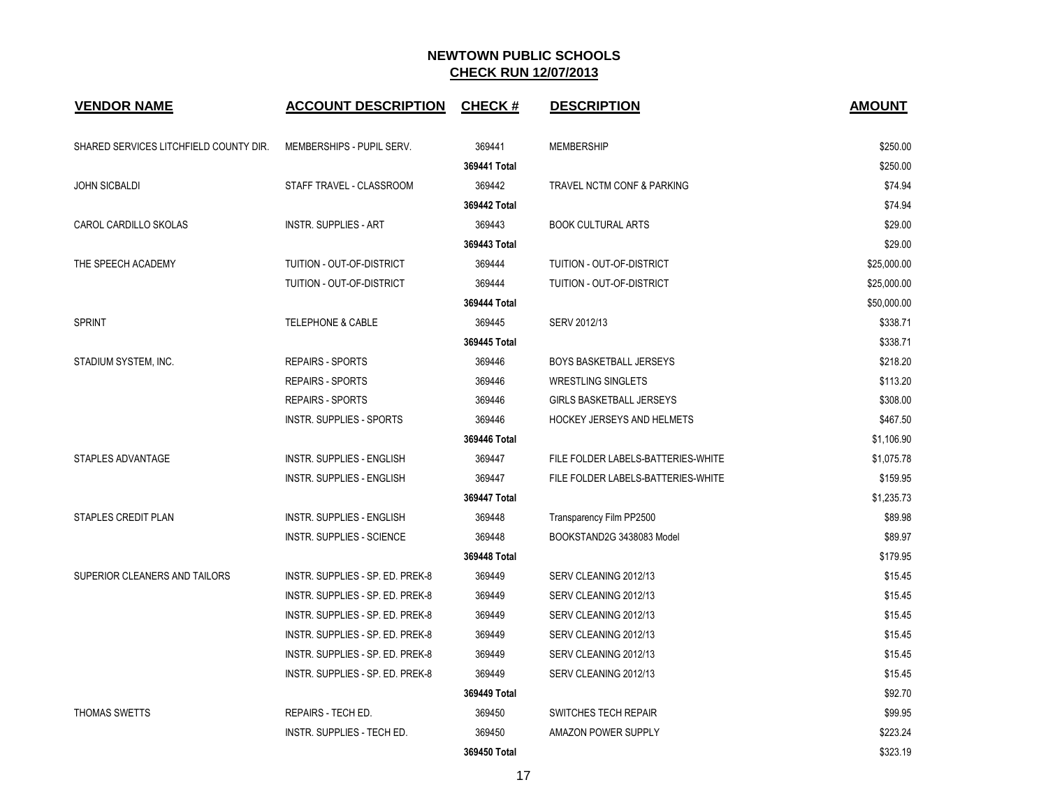| <b>VENDOR NAME</b>                     | <b>ACCOUNT DESCRIPTION</b>       | <b>CHECK#</b> | <b>DESCRIPTION</b>                 | <b>AMOUNT</b> |
|----------------------------------------|----------------------------------|---------------|------------------------------------|---------------|
| SHARED SERVICES LITCHFIELD COUNTY DIR. | MEMBERSHIPS - PUPIL SERV.        | 369441        | <b>MEMBERSHIP</b>                  | \$250.00      |
|                                        |                                  | 369441 Total  |                                    | \$250.00      |
| <b>JOHN SICBALDI</b>                   | STAFF TRAVEL - CLASSROOM         | 369442        | TRAVEL NCTM CONF & PARKING         | \$74.94       |
|                                        |                                  | 369442 Total  |                                    | \$74.94       |
| CAROL CARDILLO SKOLAS                  | <b>INSTR. SUPPLIES - ART</b>     | 369443        | <b>BOOK CULTURAL ARTS</b>          | \$29.00       |
|                                        |                                  | 369443 Total  |                                    | \$29.00       |
| THE SPEECH ACADEMY                     | TUITION - OUT-OF-DISTRICT        | 369444        | TUITION - OUT-OF-DISTRICT          | \$25,000.00   |
|                                        | TUITION - OUT-OF-DISTRICT        | 369444        | TUITION - OUT-OF-DISTRICT          | \$25,000.00   |
|                                        |                                  | 369444 Total  |                                    | \$50,000.00   |
| <b>SPRINT</b>                          | <b>TELEPHONE &amp; CABLE</b>     | 369445        | SERV 2012/13                       | \$338.71      |
|                                        |                                  | 369445 Total  |                                    | \$338.71      |
| STADIUM SYSTEM, INC.                   | <b>REPAIRS - SPORTS</b>          | 369446        | <b>BOYS BASKETBALL JERSEYS</b>     | \$218.20      |
|                                        | <b>REPAIRS - SPORTS</b>          | 369446        | <b>WRESTLING SINGLETS</b>          | \$113.20      |
|                                        | <b>REPAIRS - SPORTS</b>          | 369446        | <b>GIRLS BASKETBALL JERSEYS</b>    | \$308.00      |
|                                        | <b>INSTR. SUPPLIES - SPORTS</b>  | 369446        | <b>HOCKEY JERSEYS AND HELMETS</b>  | \$467.50      |
|                                        |                                  | 369446 Total  |                                    | \$1,106.90    |
| STAPLES ADVANTAGE                      | INSTR. SUPPLIES - ENGLISH        | 369447        | FILE FOLDER LABELS-BATTERIES-WHITE | \$1,075.78    |
|                                        | INSTR. SUPPLIES - ENGLISH        | 369447        | FILE FOLDER LABELS-BATTERIES-WHITE | \$159.95      |
|                                        |                                  | 369447 Total  |                                    | \$1,235.73    |
| <b>STAPLES CREDIT PLAN</b>             | <b>INSTR. SUPPLIES - ENGLISH</b> | 369448        | Transparency Film PP2500           | \$89.98       |
|                                        | <b>INSTR. SUPPLIES - SCIENCE</b> | 369448        | BOOKSTAND2G 3438083 Model          | \$89.97       |
|                                        |                                  | 369448 Total  |                                    | \$179.95      |
| SUPERIOR CLEANERS AND TAILORS          | INSTR. SUPPLIES - SP. ED. PREK-8 | 369449        | SERV CLEANING 2012/13              | \$15.45       |
|                                        | INSTR. SUPPLIES - SP. ED. PREK-8 | 369449        | SERV CLEANING 2012/13              | \$15.45       |
|                                        | INSTR. SUPPLIES - SP. ED. PREK-8 | 369449        | SERV CLEANING 2012/13              | \$15.45       |
|                                        | INSTR. SUPPLIES - SP. ED. PREK-8 | 369449        | SERV CLEANING 2012/13              | \$15.45       |
|                                        | INSTR. SUPPLIES - SP. ED. PREK-8 | 369449        | SERV CLEANING 2012/13              | \$15.45       |
|                                        | INSTR. SUPPLIES - SP. ED. PREK-8 | 369449        | SERV CLEANING 2012/13              | \$15.45       |
|                                        |                                  | 369449 Total  |                                    | \$92.70       |
| THOMAS SWETTS                          | REPAIRS - TECH ED.               | 369450        | SWITCHES TECH REPAIR               | \$99.95       |
|                                        | INSTR. SUPPLIES - TECH ED.       | 369450        | <b>AMAZON POWER SUPPLY</b>         | \$223.24      |
|                                        |                                  | 369450 Total  |                                    | \$323.19      |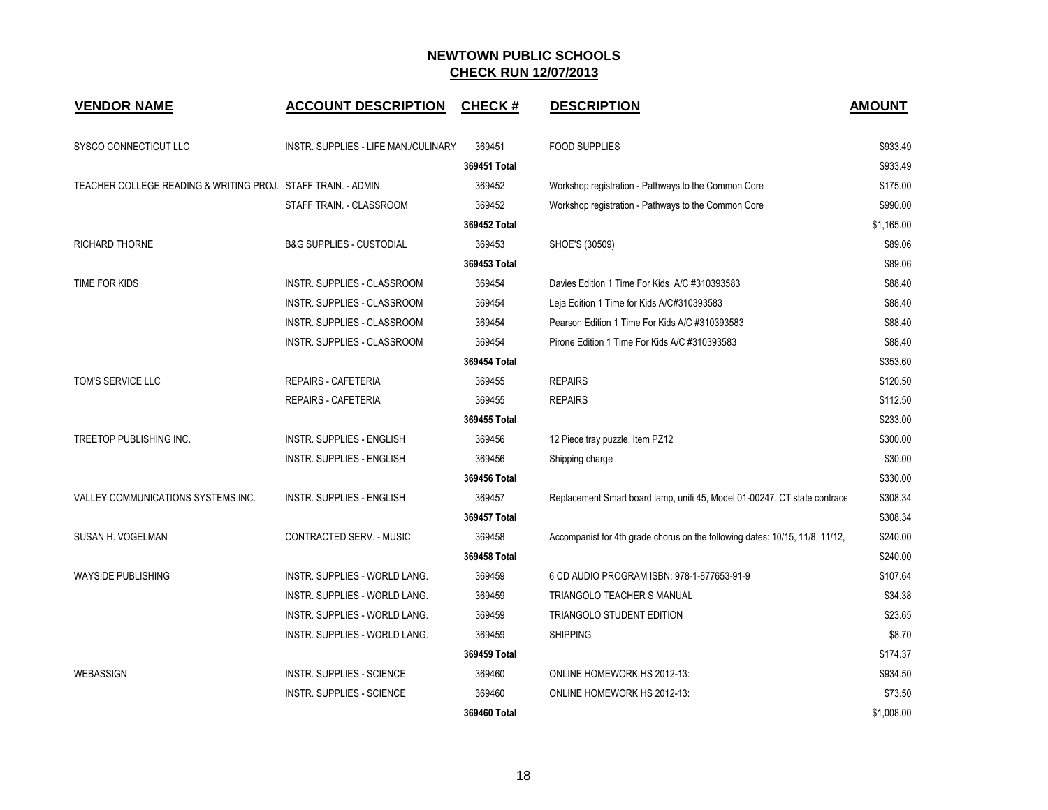| <b>VENDOR NAME</b>                                            | <b>ACCOUNT DESCRIPTION</b>           | <b>CHECK#</b> | <b>DESCRIPTION</b>                                                           | <b>AMOUNT</b> |
|---------------------------------------------------------------|--------------------------------------|---------------|------------------------------------------------------------------------------|---------------|
| SYSCO CONNECTICUT LLC                                         | INSTR. SUPPLIES - LIFE MAN./CULINARY | 369451        | <b>FOOD SUPPLIES</b>                                                         | \$933.49      |
|                                                               |                                      | 369451 Total  |                                                                              | \$933.49      |
| TEACHER COLLEGE READING & WRITING PROJ. STAFF TRAIN. - ADMIN. |                                      | 369452        | Workshop registration - Pathways to the Common Core                          | \$175.00      |
|                                                               | STAFF TRAIN. - CLASSROOM             | 369452        | Workshop registration - Pathways to the Common Core                          | \$990.00      |
|                                                               |                                      | 369452 Total  |                                                                              | \$1,165.00    |
| <b>RICHARD THORNE</b>                                         | <b>B&amp;G SUPPLIES - CUSTODIAL</b>  | 369453        | SHOE'S (30509)                                                               | \$89.06       |
|                                                               |                                      | 369453 Total  |                                                                              | \$89.06       |
| TIME FOR KIDS                                                 | INSTR. SUPPLIES - CLASSROOM          | 369454        | Davies Edition 1 Time For Kids A/C #310393583                                | \$88.40       |
|                                                               | INSTR. SUPPLIES - CLASSROOM          | 369454        | Leja Edition 1 Time for Kids A/C#310393583                                   | \$88.40       |
|                                                               | INSTR. SUPPLIES - CLASSROOM          | 369454        | Pearson Edition 1 Time For Kids A/C #310393583                               | \$88.40       |
|                                                               | INSTR. SUPPLIES - CLASSROOM          | 369454        | Pirone Edition 1 Time For Kids A/C #310393583                                | \$88.40       |
|                                                               |                                      | 369454 Total  |                                                                              | \$353.60      |
| TOM'S SERVICE LLC                                             | <b>REPAIRS - CAFETERIA</b>           | 369455        | <b>REPAIRS</b>                                                               | \$120.50      |
|                                                               | <b>REPAIRS - CAFETERIA</b>           | 369455        | <b>REPAIRS</b>                                                               | \$112.50      |
|                                                               |                                      | 369455 Total  |                                                                              | \$233.00      |
| TREETOP PUBLISHING INC.                                       | INSTR. SUPPLIES - ENGLISH            | 369456        | 12 Piece tray puzzle, Item PZ12                                              | \$300.00      |
|                                                               | INSTR. SUPPLIES - ENGLISH            | 369456        | Shipping charge                                                              | \$30.00       |
|                                                               |                                      | 369456 Total  |                                                                              | \$330.00      |
| VALLEY COMMUNICATIONS SYSTEMS INC.                            | INSTR. SUPPLIES - ENGLISH            | 369457        | Replacement Smart board lamp, unifi 45, Model 01-00247. CT state contrace    | \$308.34      |
|                                                               |                                      | 369457 Total  |                                                                              | \$308.34      |
| SUSAN H. VOGELMAN                                             | CONTRACTED SERV. - MUSIC             | 369458        | Accompanist for 4th grade chorus on the following dates: 10/15, 11/8, 11/12, | \$240.00      |
|                                                               |                                      | 369458 Total  |                                                                              | \$240.00      |
| <b>WAYSIDE PUBLISHING</b>                                     | INSTR. SUPPLIES - WORLD LANG.        | 369459        | 6 CD AUDIO PROGRAM ISBN: 978-1-877653-91-9                                   | \$107.64      |
|                                                               | INSTR. SUPPLIES - WORLD LANG.        | 369459        | TRIANGOLO TEACHER S MANUAL                                                   | \$34.38       |
|                                                               | INSTR. SUPPLIES - WORLD LANG.        | 369459        | TRIANGOLO STUDENT EDITION                                                    | \$23.65       |
|                                                               | INSTR. SUPPLIES - WORLD LANG.        | 369459        | <b>SHIPPING</b>                                                              | \$8.70        |
|                                                               |                                      | 369459 Total  |                                                                              | \$174.37      |
| WEBASSIGN                                                     | INSTR. SUPPLIES - SCIENCE            | 369460        | ONLINE HOMEWORK HS 2012-13:                                                  | \$934.50      |
|                                                               | <b>INSTR. SUPPLIES - SCIENCE</b>     | 369460        | ONLINE HOMEWORK HS 2012-13:                                                  | \$73.50       |
|                                                               |                                      | 369460 Total  |                                                                              | \$1,008.00    |